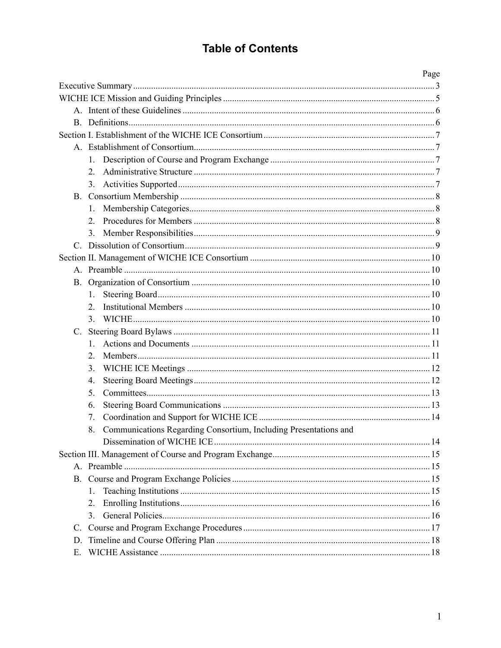# **Table of Contents**

|    |                                                                        | Page |
|----|------------------------------------------------------------------------|------|
|    |                                                                        |      |
|    |                                                                        |      |
|    |                                                                        |      |
|    |                                                                        |      |
|    |                                                                        |      |
|    |                                                                        |      |
|    | 1.                                                                     |      |
|    | 2.                                                                     |      |
|    | 3.                                                                     |      |
| B. |                                                                        |      |
|    | 1.                                                                     |      |
|    | 2.                                                                     |      |
|    | 3.                                                                     |      |
|    |                                                                        |      |
|    |                                                                        |      |
|    |                                                                        |      |
|    |                                                                        |      |
|    | 1.                                                                     |      |
|    | 2.                                                                     |      |
|    | $\mathcal{E}$                                                          |      |
| C. |                                                                        |      |
|    | 1.                                                                     |      |
|    | 2.                                                                     |      |
|    | 3.                                                                     |      |
|    | 4.                                                                     |      |
|    | 5.                                                                     |      |
|    | 6.                                                                     |      |
|    | 7.                                                                     |      |
|    | Communications Regarding Consortium, Including Presentations and<br>8. |      |
|    |                                                                        |      |
|    |                                                                        |      |
|    |                                                                        |      |
|    |                                                                        |      |
|    | 1.                                                                     |      |
|    | $\overline{2}$ .                                                       |      |
|    | 3.                                                                     |      |
| C. |                                                                        |      |
| D. |                                                                        |      |
| Е. |                                                                        |      |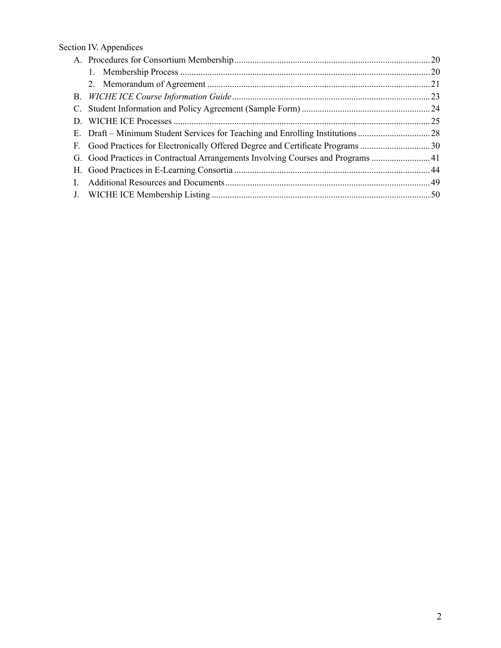# Section IV. Appendices

| G. Good Practices in Contractual Arrangements Involving Courses and Programs 41 |  |
|---------------------------------------------------------------------------------|--|
|                                                                                 |  |
|                                                                                 |  |
|                                                                                 |  |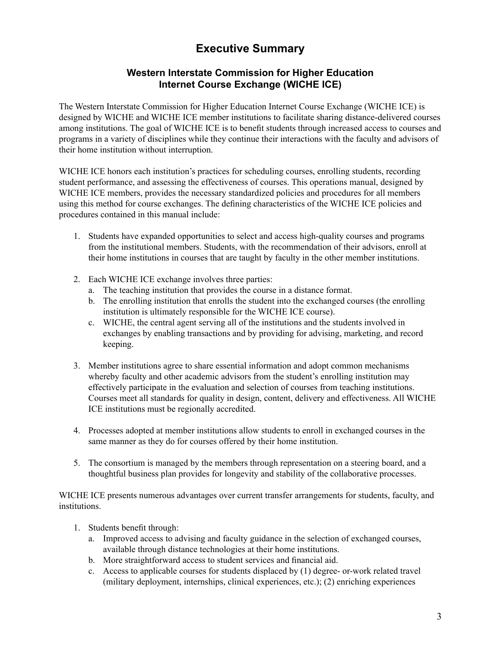# **Executive Summary**

# **Western Interstate Commission for Higher Education Internet Course Exchange (WICHE ICE)**

The Western Interstate Commission for Higher Education Internet Course Exchange (WICHE ICE) is designed by WICHE and WICHE ICE member institutions to facilitate sharing distance-delivered courses among institutions. The goal of WICHE ICE is to benefit students through increased access to courses and programs in a variety of disciplines while they continue their interactions with the faculty and advisors of their home institution without interruption.

WICHE ICE honors each institution's practices for scheduling courses, enrolling students, recording student performance, and assessing the effectiveness of courses. This operations manual, designed by WICHE ICE members, provides the necessary standardized policies and procedures for all members using this method for course exchanges. The defining characteristics of the WICHE ICE policies and procedures contained in this manual include:

- 1. Students have expanded opportunities to select and access high-quality courses and programs from the institutional members. Students, with the recommendation of their advisors, enroll at their home institutions in courses that are taught by faculty in the other member institutions.
- 2. Each WICHE ICE exchange involves three parties:
	- a. The teaching institution that provides the course in a distance format.
	- b. The enrolling institution that enrolls the student into the exchanged courses (the enrolling institution is ultimately responsible for the WICHE ICE course).
	- c. WICHE, the central agent serving all of the institutions and the students involved in exchanges by enabling transactions and by providing for advising, marketing, and record keeping.
- 3. Member institutions agree to share essential information and adopt common mechanisms whereby faculty and other academic advisors from the student's enrolling institution may effectively participate in the evaluation and selection of courses from teaching institutions. Courses meet all standards for quality in design, content, delivery and effectiveness. All WICHE ICE institutions must be regionally accredited.
- 4. Processes adopted at member institutions allow students to enroll in exchanged courses in the same manner as they do for courses offered by their home institution.
- 5. The consortium is managed by the members through representation on a steering board, and a thoughtful business plan provides for longevity and stability of the collaborative processes.

WICHE ICE presents numerous advantages over current transfer arrangements for students, faculty, and institutions.

- 1. Students benefit through:
	- a. Improved access to advising and faculty guidance in the selection of exchanged courses, available through distance technologies at their home institutions.
	- b. More straightforward access to student services and financial aid.
	- c. Access to applicable courses for students displaced by (1) degree- or-work related travel (military deployment, internships, clinical experiences, etc.); (2) enriching experiences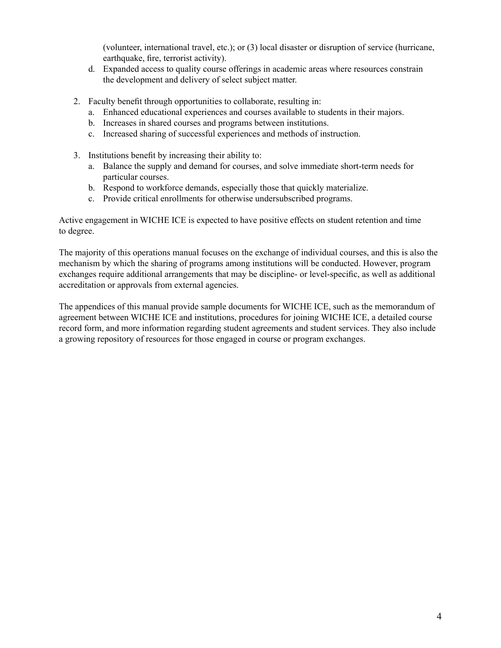(volunteer, international travel, etc.); or (3) local disaster or disruption of service (hurricane, earthquake, fire, terrorist activity).

- d. Expanded access to quality course offerings in academic areas where resources constrain the development and delivery of select subject matter.
- 2. Faculty benefit through opportunities to collaborate, resulting in:
	- a. Enhanced educational experiences and courses available to students in their majors.
	- b. Increases in shared courses and programs between institutions.
	- c. Increased sharing of successful experiences and methods of instruction.
- 3. Institutions benefit by increasing their ability to:
	- a. Balance the supply and demand for courses, and solve immediate short-term needs for particular courses.
	- b. Respond to workforce demands, especially those that quickly materialize.
	- c. Provide critical enrollments for otherwise undersubscribed programs.

Active engagement in WICHE ICE is expected to have positive effects on student retention and time to degree.

The majority of this operations manual focuses on the exchange of individual courses, and this is also the mechanism by which the sharing of programs among institutions will be conducted. However, program exchanges require additional arrangements that may be discipline- or level-specific, as well as additional accreditation or approvals from external agencies.

The appendices of this manual provide sample documents for WICHE ICE, such as the memorandum of agreement between WICHE ICE and institutions, procedures for joining WICHE ICE, a detailed course record form, and more information regarding student agreements and student services. They also include a growing repository of resources for those engaged in course or program exchanges.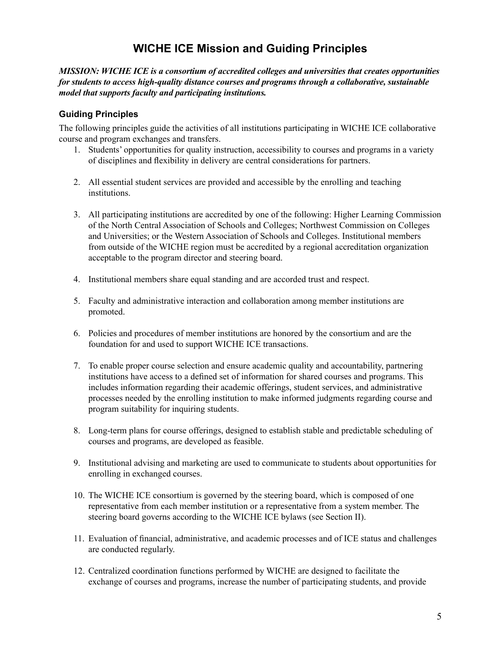# **WICHE ICE Mission and Guiding Principles**

*MISSION: WICHE ICE is a consortium of accredited colleges and universities that creates opportunities for students to access high-quality distance courses and programs through a collaborative, sustainable model that supports faculty and participating institutions.*

# **Guiding Principles**

The following principles guide the activities of all institutions participating in WICHE ICE collaborative course and program exchanges and transfers.

- 1. Students' opportunities for quality instruction, accessibility to courses and programs in a variety of disciplines and flexibility in delivery are central considerations for partners.
- 2. All essential student services are provided and accessible by the enrolling and teaching institutions.
- 3. All participating institutions are accredited by one of the following: Higher Learning Commission of the North Central Association of Schools and Colleges; Northwest Commission on Colleges and Universities; or the Western Association of Schools and Colleges. Institutional members from outside of the WICHE region must be accredited by a regional accreditation organization acceptable to the program director and steering board.
- 4. Institutional members share equal standing and are accorded trust and respect.
- 5. Faculty and administrative interaction and collaboration among member institutions are promoted.
- 6. Policies and procedures of member institutions are honored by the consortium and are the foundation for and used to support WICHE ICE transactions.
- 7. To enable proper course selection and ensure academic quality and accountability, partnering institutions have access to a defined set of information for shared courses and programs. This includes information regarding their academic offerings, student services, and administrative processes needed by the enrolling institution to make informed judgments regarding course and program suitability for inquiring students.
- 8. Long-term plans for course offerings, designed to establish stable and predictable scheduling of courses and programs, are developed as feasible.
- 9. Institutional advising and marketing are used to communicate to students about opportunities for enrolling in exchanged courses.
- 10. The WICHE ICE consortium is governed by the steering board, which is composed of one representative from each member institution or a representative from a system member. The steering board governs according to the WICHE ICE bylaws (see Section II).
- 11. Evaluation of financial, administrative, and academic processes and of ICE status and challenges are conducted regularly.
- 12. Centralized coordination functions performed by WICHE are designed to facilitate the exchange of courses and programs, increase the number of participating students, and provide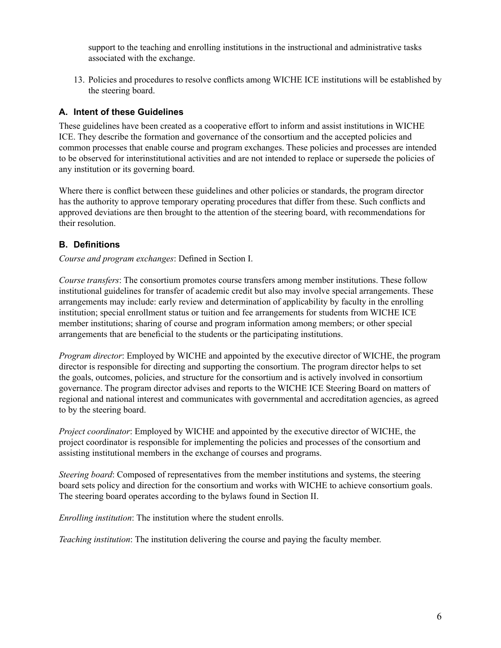support to the teaching and enrolling institutions in the instructional and administrative tasks associated with the exchange.

13. Policies and procedures to resolve conflicts among WICHE ICE institutions will be established by the steering board.

# **A. Intent of these Guidelines**

These guidelines have been created as a cooperative effort to inform and assist institutions in WICHE ICE. They describe the formation and governance of the consortium and the accepted policies and common processes that enable course and program exchanges. These policies and processes are intended to be observed for interinstitutional activities and are not intended to replace or supersede the policies of any institution or its governing board.

Where there is conflict between these guidelines and other policies or standards, the program director has the authority to approve temporary operating procedures that differ from these. Such conflicts and approved deviations are then brought to the attention of the steering board, with recommendations for their resolution.

# **B. Definitions**

*Course and program exchanges*: Defined in Section I.

*Course transfers*: The consortium promotes course transfers among member institutions. These follow institutional guidelines for transfer of academic credit but also may involve special arrangements. These arrangements may include: early review and determination of applicability by faculty in the enrolling institution; special enrollment status or tuition and fee arrangements for students from WICHE ICE member institutions; sharing of course and program information among members; or other special arrangements that are beneficial to the students or the participating institutions.

*Program director*: Employed by WICHE and appointed by the executive director of WICHE, the program director is responsible for directing and supporting the consortium. The program director helps to set the goals, outcomes, policies, and structure for the consortium and is actively involved in consortium governance. The program director advises and reports to the WICHE ICE Steering Board on matters of regional and national interest and communicates with governmental and accreditation agencies, as agreed to by the steering board.

*Project coordinator*: Employed by WICHE and appointed by the executive director of WICHE, the project coordinator is responsible for implementing the policies and processes of the consortium and assisting institutional members in the exchange of courses and programs.

*Steering board*: Composed of representatives from the member institutions and systems, the steering board sets policy and direction for the consortium and works with WICHE to achieve consortium goals. The steering board operates according to the bylaws found in Section II.

*Enrolling institution*: The institution where the student enrolls.

*Teaching institution*: The institution delivering the course and paying the faculty member.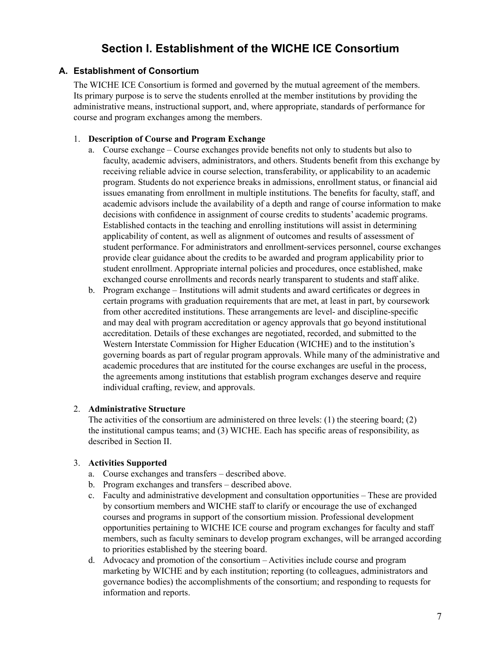# **Section I. Establishment of the WICHE ICE Consortium**

# **A. Establishment of Consortium**

The WICHE ICE Consortium is formed and governed by the mutual agreement of the members. Its primary purpose is to serve the students enrolled at the member institutions by providing the administrative means, instructional support, and, where appropriate, standards of performance for course and program exchanges among the members.

#### 1. **Description of Course and Program Exchange**

- a. Course exchange Course exchanges provide benefits not only to students but also to faculty, academic advisers, administrators, and others. Students benefit from this exchange by receiving reliable advice in course selection, transferability, or applicability to an academic program. Students do not experience breaks in admissions, enrollment status, or financial aid issues emanating from enrollment in multiple institutions. The benefits for faculty, staff, and academic advisors include the availability of a depth and range of course information to make decisions with confidence in assignment of course credits to students' academic programs. Established contacts in the teaching and enrolling institutions will assist in determining applicability of content, as well as alignment of outcomes and results of assessment of student performance. For administrators and enrollment-services personnel, course exchanges provide clear guidance about the credits to be awarded and program applicability prior to student enrollment. Appropriate internal policies and procedures, once established, make exchanged course enrollments and records nearly transparent to students and staff alike.
- b. Program exchange Institutions will admit students and award certificates or degrees in certain programs with graduation requirements that are met, at least in part, by coursework from other accredited institutions. These arrangements are level- and discipline-specific and may deal with program accreditation or agency approvals that go beyond institutional accreditation. Details of these exchanges are negotiated, recorded, and submitted to the Western Interstate Commission for Higher Education (WICHE) and to the institution's governing boards as part of regular program approvals. While many of the administrative and academic procedures that are instituted for the course exchanges are useful in the process, the agreements among institutions that establish program exchanges deserve and require individual crafting, review, and approvals.

#### 2. **Administrative Structure**

The activities of the consortium are administered on three levels: (1) the steering board; (2) the institutional campus teams; and (3) WICHE. Each has specific areas of responsibility, as described in Section II.

#### 3. **Activities Supported**

- a. Course exchanges and transfers described above.
- b. Program exchanges and transfers described above.
- c. Faculty and administrative development and consultation opportunities These are provided by consortium members and WICHE staff to clarify or encourage the use of exchanged courses and programs in support of the consortium mission. Professional development opportunities pertaining to WICHE ICE course and program exchanges for faculty and staff members, such as faculty seminars to develop program exchanges, will be arranged according to priorities established by the steering board.
- d. Advocacy and promotion of the consortium Activities include course and program marketing by WICHE and by each institution; reporting (to colleagues, administrators and governance bodies) the accomplishments of the consortium; and responding to requests for information and reports.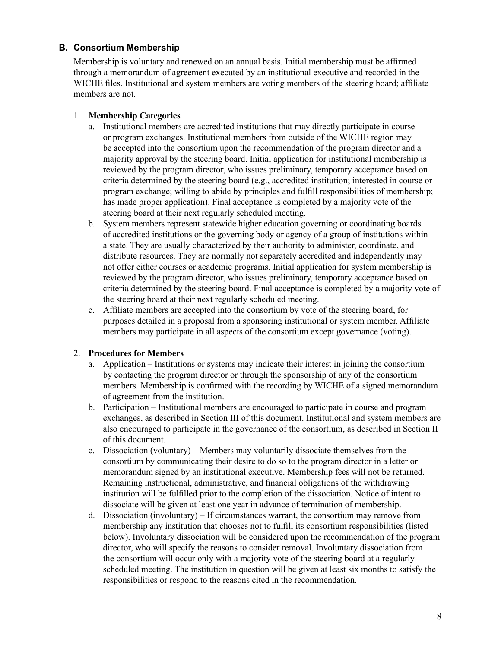# **B. Consortium Membership**

Membership is voluntary and renewed on an annual basis. Initial membership must be affirmed through a memorandum of agreement executed by an institutional executive and recorded in the WICHE files. Institutional and system members are voting members of the steering board; affiliate members are not.

## 1. **Membership Categories**

- a. Institutional members are accredited institutions that may directly participate in course or program exchanges. Institutional members from outside of the WICHE region may be accepted into the consortium upon the recommendation of the program director and a majority approval by the steering board. Initial application for institutional membership is reviewed by the program director, who issues preliminary, temporary acceptance based on criteria determined by the steering board (e.g., accredited institution; interested in course or program exchange; willing to abide by principles and fulfill responsibilities of membership; has made proper application). Final acceptance is completed by a majority vote of the steering board at their next regularly scheduled meeting.
- b. System members represent statewide higher education governing or coordinating boards of accredited institutions or the governing body or agency of a group of institutions within a state. They are usually characterized by their authority to administer, coordinate, and distribute resources. They are normally not separately accredited and independently may not offer either courses or academic programs. Initial application for system membership is reviewed by the program director, who issues preliminary, temporary acceptance based on criteria determined by the steering board. Final acceptance is completed by a majority vote of the steering board at their next regularly scheduled meeting.
- c. Affiliate members are accepted into the consortium by vote of the steering board, for purposes detailed in a proposal from a sponsoring institutional or system member. Affiliate members may participate in all aspects of the consortium except governance (voting).

# 2. **Procedures for Members**

- a. Application Institutions or systems may indicate their interest in joining the consortium by contacting the program director or through the sponsorship of any of the consortium members. Membership is confirmed with the recording by WICHE of a signed memorandum of agreement from the institution.
- b. Participation Institutional members are encouraged to participate in course and program exchanges, as described in Section III of this document. Institutional and system members are also encouraged to participate in the governance of the consortium, as described in Section II of this document.
- c. Dissociation (voluntary) Members may voluntarily dissociate themselves from the consortium by communicating their desire to do so to the program director in a letter or memorandum signed by an institutional executive. Membership fees will not be returned. Remaining instructional, administrative, and financial obligations of the withdrawing institution will be fulfilled prior to the completion of the dissociation. Notice of intent to dissociate will be given at least one year in advance of termination of membership.
- d. Dissociation (involuntary) If circumstances warrant, the consortium may remove from membership any institution that chooses not to fulfill its consortium responsibilities (listed below). Involuntary dissociation will be considered upon the recommendation of the program director, who will specify the reasons to consider removal. Involuntary dissociation from the consortium will occur only with a majority vote of the steering board at a regularly scheduled meeting. The institution in question will be given at least six months to satisfy the responsibilities or respond to the reasons cited in the recommendation.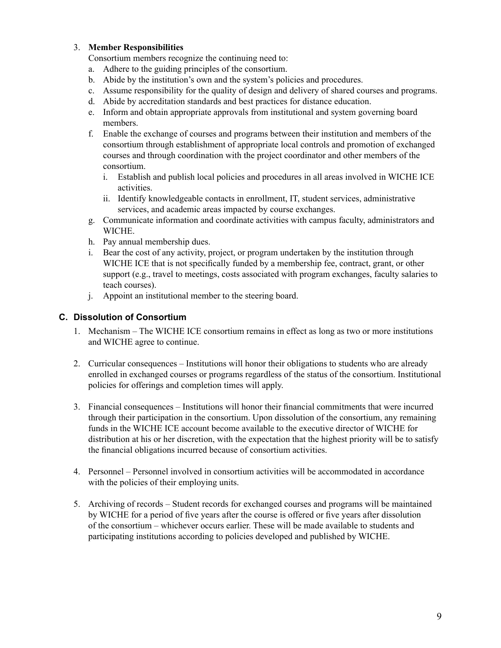# 3. **Member Responsibilities**

Consortium members recognize the continuing need to:

- a. Adhere to the guiding principles of the consortium.
- b. Abide by the institution's own and the system's policies and procedures.
- c. Assume responsibility for the quality of design and delivery of shared courses and programs.
- d. Abide by accreditation standards and best practices for distance education.
- e. Inform and obtain appropriate approvals from institutional and system governing board members.
- f. Enable the exchange of courses and programs between their institution and members of the consortium through establishment of appropriate local controls and promotion of exchanged courses and through coordination with the project coordinator and other members of the consortium.
	- i. Establish and publish local policies and procedures in all areas involved in WICHE ICE activities.
	- ii. Identify knowledgeable contacts in enrollment, IT, student services, administrative services, and academic areas impacted by course exchanges.
- g. Communicate information and coordinate activities with campus faculty, administrators and WICHE.
- h. Pay annual membership dues.
- i. Bear the cost of any activity, project, or program undertaken by the institution through WICHE ICE that is not specifically funded by a membership fee, contract, grant, or other support (e.g., travel to meetings, costs associated with program exchanges, faculty salaries to teach courses).
- j. Appoint an institutional member to the steering board.

# **C. Dissolution of Consortium**

- 1. Mechanism The WICHE ICE consortium remains in effect as long as two or more institutions and WICHE agree to continue.
- 2. Curricular consequences Institutions will honor their obligations to students who are already enrolled in exchanged courses or programs regardless of the status of the consortium. Institutional policies for offerings and completion times will apply.
- 3. Financial consequences Institutions will honor their financial commitments that were incurred through their participation in the consortium. Upon dissolution of the consortium, any remaining funds in the WICHE ICE account become available to the executive director of WICHE for distribution at his or her discretion, with the expectation that the highest priority will be to satisfy the financial obligations incurred because of consortium activities.
- 4. Personnel Personnel involved in consortium activities will be accommodated in accordance with the policies of their employing units.
- 5. Archiving of records Student records for exchanged courses and programs will be maintained by WICHE for a period of five years after the course is offered or five years after dissolution of the consortium – whichever occurs earlier. These will be made available to students and participating institutions according to policies developed and published by WICHE.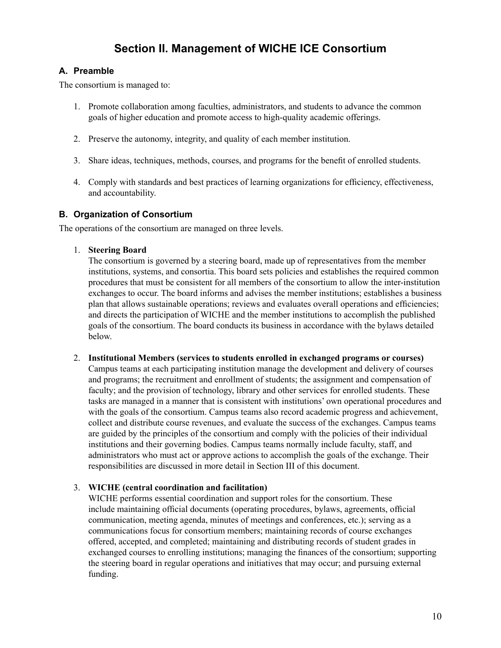# **A. Preamble**

The consortium is managed to:

- 1. Promote collaboration among faculties, administrators, and students to advance the common goals of higher education and promote access to high-quality academic offerings.
- 2. Preserve the autonomy, integrity, and quality of each member institution.
- 3. Share ideas, techniques, methods, courses, and programs for the benefit of enrolled students.
- 4. Comply with standards and best practices of learning organizations for efficiency, effectiveness, and accountability.

# **B. Organization of Consortium**

The operations of the consortium are managed on three levels.

1. **Steering Board**

The consortium is governed by a steering board, made up of representatives from the member institutions, systems, and consortia. This board sets policies and establishes the required common procedures that must be consistent for all members of the consortium to allow the inter-institution exchanges to occur. The board informs and advises the member institutions; establishes a business plan that allows sustainable operations; reviews and evaluates overall operations and efficiencies; and directs the participation of WICHE and the member institutions to accomplish the published goals of the consortium. The board conducts its business in accordance with the bylaws detailed below.

2. **Institutional Members (services to students enrolled in exchanged programs or courses)** Campus teams at each participating institution manage the development and delivery of courses and programs; the recruitment and enrollment of students; the assignment and compensation of faculty; and the provision of technology, library and other services for enrolled students. These tasks are managed in a manner that is consistent with institutions' own operational procedures and with the goals of the consortium. Campus teams also record academic progress and achievement, collect and distribute course revenues, and evaluate the success of the exchanges. Campus teams are guided by the principles of the consortium and comply with the policies of their individual institutions and their governing bodies. Campus teams normally include faculty, staff, and administrators who must act or approve actions to accomplish the goals of the exchange. Their responsibilities are discussed in more detail in Section III of this document.

# 3. **WICHE (central coordination and facilitation)**

WICHE performs essential coordination and support roles for the consortium. These include maintaining official documents (operating procedures, bylaws, agreements, official communication, meeting agenda, minutes of meetings and conferences, etc.); serving as a communications focus for consortium members; maintaining records of course exchanges offered, accepted, and completed; maintaining and distributing records of student grades in exchanged courses to enrolling institutions; managing the finances of the consortium; supporting the steering board in regular operations and initiatives that may occur; and pursuing external funding.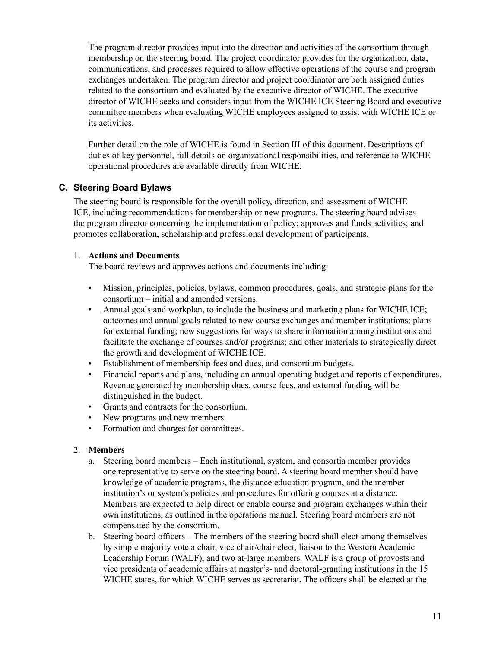The program director provides input into the direction and activities of the consortium through membership on the steering board. The project coordinator provides for the organization, data, communications, and processes required to allow effective operations of the course and program exchanges undertaken. The program director and project coordinator are both assigned duties related to the consortium and evaluated by the executive director of WICHE. The executive director of WICHE seeks and considers input from the WICHE ICE Steering Board and executive committee members when evaluating WICHE employees assigned to assist with WICHE ICE or its activities.

Further detail on the role of WICHE is found in Section III of this document. Descriptions of duties of key personnel, full details on organizational responsibilities, and reference to WICHE operational procedures are available directly from WICHE.

# **C. Steering Board Bylaws**

The steering board is responsible for the overall policy, direction, and assessment of WICHE ICE, including recommendations for membership or new programs. The steering board advises the program director concerning the implementation of policy; approves and funds activities; and promotes collaboration, scholarship and professional development of participants.

# 1. **Actions and Documents**

The board reviews and approves actions and documents including:

- • Mission, principles, policies, bylaws, common procedures, goals, and strategic plans for the consortium – initial and amended versions.
- Annual goals and workplan, to include the business and marketing plans for WICHE ICE; outcomes and annual goals related to new course exchanges and member institutions; plans for external funding; new suggestions for ways to share information among institutions and facilitate the exchange of courses and/or programs; and other materials to strategically direct the growth and development of WICHE ICE.
- • Establishment of membership fees and dues, and consortium budgets.
- • Financial reports and plans, including an annual operating budget and reports of expenditures. Revenue generated by membership dues, course fees, and external funding will be distinguished in the budget.
- • Grants and contracts for the consortium.
- New programs and new members.
- • Formation and charges for committees.

# 2. **Members**

- a. Steering board members Each institutional, system, and consortia member provides one representative to serve on the steering board. A steering board member should have knowledge of academic programs, the distance education program, and the member institution's or system's policies and procedures for offering courses at a distance. Members are expected to help direct or enable course and program exchanges within their own institutions, as outlined in the operations manual. Steering board members are not compensated by the consortium.
- b. Steering board officers The members of the steering board shall elect among themselves by simple majority vote a chair, vice chair/chair elect, liaison to the Western Academic Leadership Forum (WALF), and two at-large members. WALF is a group of provosts and vice presidents of academic affairs at master's- and doctoral-granting institutions in the 15 WICHE states, for which WICHE serves as secretariat. The officers shall be elected at the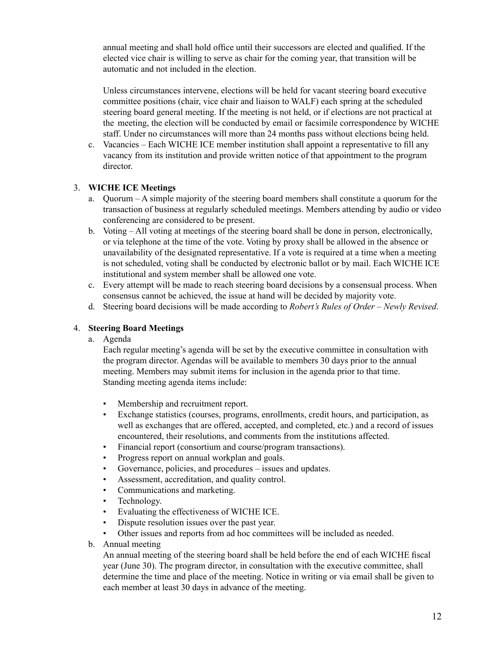annual meeting and shall hold office until their successors are elected and qualified. If the elected vice chair is willing to serve as chair for the coming year, that transition will be automatic and not included in the election.

 Unless circumstances intervene, elections will be held for vacant steering board executive committee positions (chair, vice chair and liaison to WALF) each spring at the scheduled steering board general meeting. If the meeting is not held, or if elections are not practical at the meeting, the election will be conducted by email or facsimile correspondence by WICHE staff. Under no circumstances will more than 24 months pass without elections being held.

c. Vacancies – Each WICHE ICE member institution shall appoint a representative to fill any vacancy from its institution and provide written notice of that appointment to the program director.

### 3. **WICHE ICE Meetings**

- a. Quorum A simple majority of the steering board members shall constitute a quorum for the transaction of business at regularly scheduled meetings. Members attending by audio or video conferencing are considered to be present.
- b. Voting All voting at meetings of the steering board shall be done in person, electronically, or via telephone at the time of the vote. Voting by proxy shall be allowed in the absence or unavailability of the designated representative. If a vote is required at a time when a meeting is not scheduled, voting shall be conducted by electronic ballot or by mail. Each WICHE ICE institutional and system member shall be allowed one vote.
- c. Every attempt will be made to reach steering board decisions by a consensual process. When consensus cannot be achieved, the issue at hand will be decided by majority vote.
- d. Steering board decisions will be made according to *Robert's Rules of Order Newly Revised*.

# 4. **Steering Board Meetings**

a. Agenda

 Each regular meeting's agenda will be set by the executive committee in consultation with the program director. Agendas will be available to members 30 days prior to the annual meeting. Members may submit items for inclusion in the agenda prior to that time. Standing meeting agenda items include:

- Membership and recruitment report.
- Exchange statistics (courses, programs, enrollments, credit hours, and participation, as well as exchanges that are offered, accepted, and completed, etc.) and a record of issues encountered, their resolutions, and comments from the institutions affected.
- • Financial report (consortium and course/program transactions).
- Progress report on annual workplan and goals.
- • Governance, policies, and procedures issues and updates.
- • Assessment, accreditation, and quality control.
- • Communications and marketing.
- Technology.
- • Evaluating the effectiveness of WICHE ICE.
- Dispute resolution issues over the past year.
- Other issues and reports from ad hoc committees will be included as needed.
- b. Annual meeting

 An annual meeting of the steering board shall be held before the end of each WICHE fiscal year (June 30). The program director, in consultation with the executive committee, shall determine the time and place of the meeting. Notice in writing or via email shall be given to each member at least 30 days in advance of the meeting.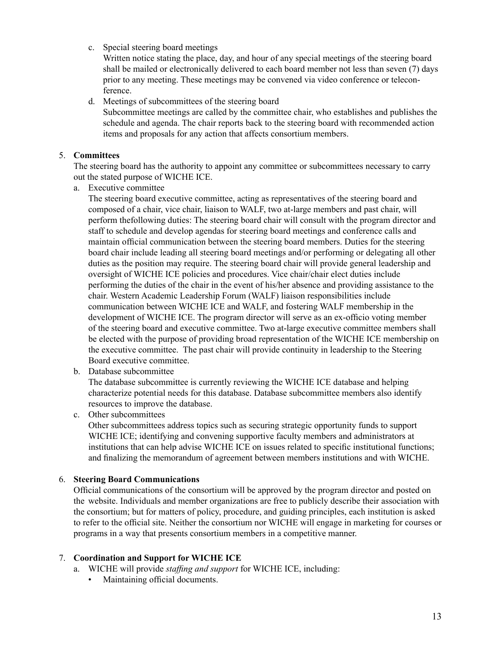c. Special steering board meetings

 Written notice stating the place, day, and hour of any special meetings of the steering board shall be mailed or electronically delivered to each board member not less than seven (7) days prior to any meeting. These meetings may be convened via video conference or telecon ference.

d. Meetings of subcommittees of the steering board

 Subcommittee meetings are called by the committee chair, who establishes and publishes the schedule and agenda. The chair reports back to the steering board with recommended action items and proposals for any action that affects consortium members.

# 5. **Committees**

The steering board has the authority to appoint any committee or subcommittees necessary to carry out the stated purpose of WICHE ICE.

a. Executive committee

The steering board executive committee, acting as representatives of the steering board and composed of a chair, vice chair, liaison to WALF, two at-large members and past chair, will perform thefollowing duties: The steering board chair will consult with the program director and staff to schedule and develop agendas for steering board meetings and conference calls and maintain official communication between the steering board members. Duties for the steering board chair include leading all steering board meetings and/or performing or delegating all other duties as the position may require. The steering board chair will provide general leadership and oversight of WICHE ICE policies and procedures. Vice chair/chair elect duties include performing the duties of the chair in the event of his/her absence and providing assistance to the chair. Western Academic Leadership Forum (WALF) liaison responsibilities include communication between WICHE ICE and WALF, and fostering WALF membership in the development of WICHE ICE. The program director will serve as an ex-officio voting member of the steering board and executive committee. Two at-large executive committee members shall be elected with the purpose of providing broad representation of the WICHE ICE membership on the executive committee. The past chair will provide continuity in leadership to the Steering Board executive committee.

b. Database subcommittee

The database subcommittee is currently reviewing the WICHE ICE database and helping characterize potential needs for this database. Database subcommittee members also identify resources to improve the database.

c. Other subcommittees

Other subcommittees address topics such as securing strategic opportunity funds to support WICHE ICE; identifying and convening supportive faculty members and administrators at institutions that can help advise WICHE ICE on issues related to specific institutional functions; and finalizing the memorandum of agreement between members institutions and with WICHE.

# 6. **Steering Board Communications**

Official communications of the consortium will be approved by the program director and posted on the website. Individuals and member organizations are free to publicly describe their association with the consortium; but for matters of policy, procedure, and guiding principles, each institution is asked to refer to the official site. Neither the consortium nor WICHE will engage in marketing for courses or programs in a way that presents consortium members in a competitive manner.

# 7. **Coordination and Support for WICHE ICE**

a. WICHE will provide *staffing and support* for WICHE ICE, including:

• Maintaining official documents.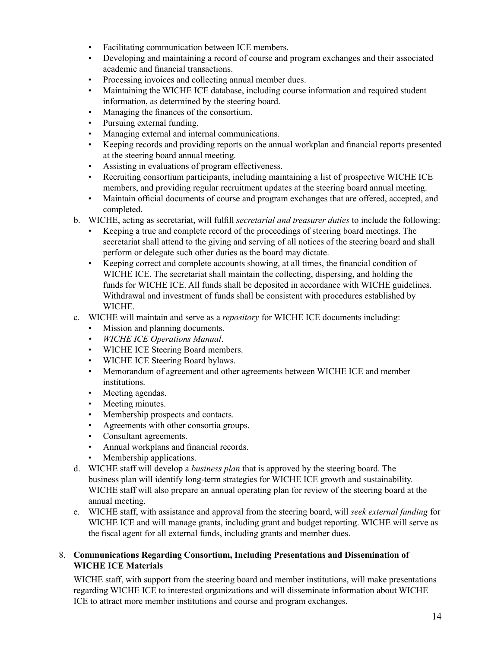- Facilitating communication between ICE members.
- Developing and maintaining a record of course and program exchanges and their associated academic and financial transactions.
- Processing invoices and collecting annual member dues.
- Maintaining the WICHE ICE database, including course information and required student information, as determined by the steering board.
- • Managing the finances of the consortium.
- Pursuing external funding.
- Managing external and internal communications.
- • Keeping records and providing reports on the annual workplan and financial reports presented at the steering board annual meeting.
- • Assisting in evaluations of program effectiveness.
- Recruiting consortium participants, including maintaining a list of prospective WICHE ICE members, and providing regular recruitment updates at the steering board annual meeting.
- Maintain official documents of course and program exchanges that are offered, accepted, and completed.
- b. WICHE, acting as secretariat, will fulfill *secretarial and treasurer duties* to include the following:
	- Keeping a true and complete record of the proceedings of steering board meetings. The secretariat shall attend to the giving and serving of all notices of the steering board and shall perform or delegate such other duties as the board may dictate.
	- • Keeping correct and complete accounts showing, at all times, the financial condition of WICHE ICE. The secretariat shall maintain the collecting, dispersing, and holding the funds for WICHE ICE. All funds shall be deposited in accordance with WICHE guidelines. Withdrawal and investment of funds shall be consistent with procedures established by WICHE.
- c. WICHE will maintain and serve as a *repository* for WICHE ICE documents including:
	- Mission and planning documents.
	- *• WICHE ICE Operations Manual*.
	- WICHE ICE Steering Board members.
	- WICHE ICE Steering Board bylaws.
	- • Memorandum of agreement and other agreements between WICHE ICE and member institutions.
	- Meeting agendas.
	- Meeting minutes.
	- Membership prospects and contacts.
	- • Agreements with other consortia groups.
	- • Consultant agreements.
	- • Annual workplans and financial records.
	- Membership applications.
- d. WICHE staff will develop a *business plan* that is approved by the steering board. The business plan will identify long-term strategies for WICHE ICE growth and sustainability. WICHE staff will also prepare an annual operating plan for review of the steering board at the annual meeting.
- e. WICHE staff, with assistance and approval from the steering board, will *seek external funding* for WICHE ICE and will manage grants, including grant and budget reporting. WICHE will serve as the fiscal agent for all external funds, including grants and member dues.

# 8. **Communications Regarding Consortium, Including Presentations and Dissemination of WICHE ICE Materials**

WICHE staff, with support from the steering board and member institutions, will make presentations regarding WICHE ICE to interested organizations and will disseminate information about WICHE ICE to attract more member institutions and course and program exchanges.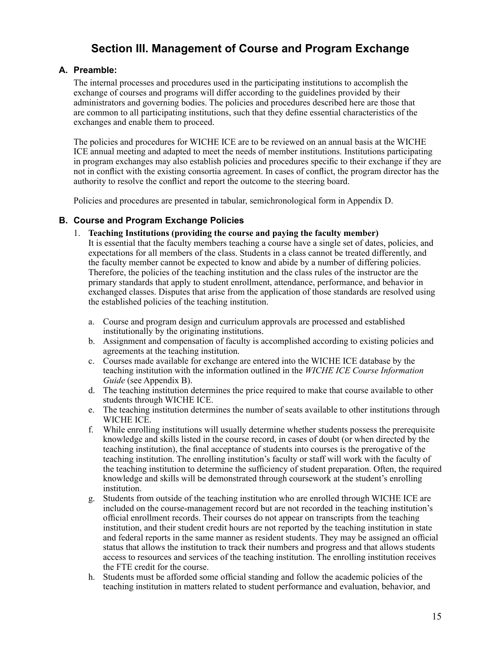# **Section III. Management of Course and Program Exchange**

# **A. Preamble:**

The internal processes and procedures used in the participating institutions to accomplish the exchange of courses and programs will differ according to the guidelines provided by their administrators and governing bodies. The policies and procedures described here are those that are common to all participating institutions, such that they define essential characteristics of the exchanges and enable them to proceed.

The policies and procedures for WICHE ICE are to be reviewed on an annual basis at the WICHE ICE annual meeting and adapted to meet the needs of member institutions. Institutions participating in program exchanges may also establish policies and procedures specific to their exchange if they are not in conflict with the existing consortia agreement. In cases of conflict, the program director has the authority to resolve the conflict and report the outcome to the steering board.

Policies and procedures are presented in tabular, semichronological form in Appendix D.

### **B. Course and Program Exchange Policies**

1. **Teaching Institutions (providing the course and paying the faculty member)**

It is essential that the faculty members teaching a course have a single set of dates, policies, and expectations for all members of the class. Students in a class cannot be treated differently, and the faculty member cannot be expected to know and abide by a number of differing policies. Therefore, the policies of the teaching institution and the class rules of the instructor are the primary standards that apply to student enrollment, attendance, performance, and behavior in exchanged classes. Disputes that arise from the application of those standards are resolved using the established policies of the teaching institution.

- a. Course and program design and curriculum approvals are processed and established institutionally by the originating institutions.
- b. Assignment and compensation of faculty is accomplished according to existing policies and agreements at the teaching institution.
- c. Courses made available for exchange are entered into the WICHE ICE database by the teaching institution with the information outlined in the *WICHE ICE Course Information Guide* (see Appendix B).
- d. The teaching institution determines the price required to make that course available to other students through WICHE ICE.
- e. The teaching institution determines the number of seats available to other institutions through WICHE ICE.
- f. While enrolling institutions will usually determine whether students possess the prerequisite knowledge and skills listed in the course record, in cases of doubt (or when directed by the teaching institution), the final acceptance of students into courses is the prerogative of the teaching institution. The enrolling institution's faculty or staff will work with the faculty of the teaching institution to determine the sufficiency of student preparation. Often, the required knowledge and skills will be demonstrated through coursework at the student's enrolling institution.
- g. Students from outside of the teaching institution who are enrolled through WICHE ICE are included on the course-management record but are not recorded in the teaching institution's official enrollment records. Their courses do not appear on transcripts from the teaching institution, and their student credit hours are not reported by the teaching institution in state and federal reports in the same manner as resident students. They may be assigned an official status that allows the institution to track their numbers and progress and that allows students access to resources and services of the teaching institution. The enrolling institution receives the FTE credit for the course.
- h. Students must be afforded some official standing and follow the academic policies of the teaching institution in matters related to student performance and evaluation, behavior, and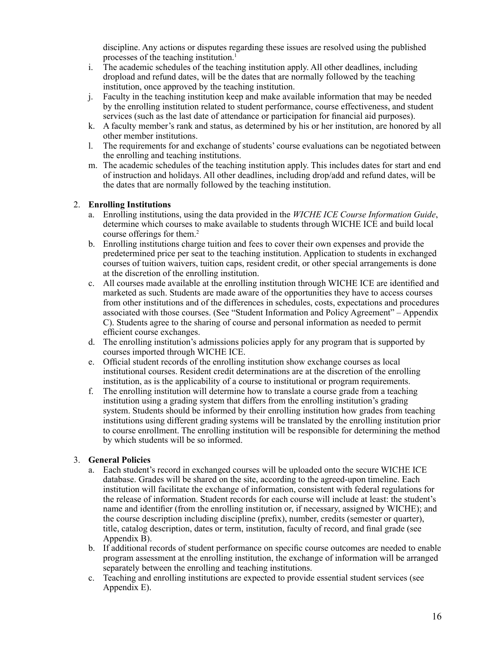discipline. Any actions or disputes regarding these issues are resolved using the published processes of the teaching institution.<sup>1</sup>

- i. The academic schedules of the teaching institution apply. All other deadlines, including dropload and refund dates, will be the dates that are normally followed by the teaching institution, once approved by the teaching institution.
- j. Faculty in the teaching institution keep and make available information that may be needed by the enrolling institution related to student performance, course effectiveness, and student services (such as the last date of attendance or participation for financial aid purposes).
- k. A faculty member's rank and status, as determined by his or her institution, are honored by all other member institutions.
- l. The requirements for and exchange of students' course evaluations can be negotiated between the enrolling and teaching institutions.
- m. The academic schedules of the teaching institution apply. This includes dates for start and end of instruction and holidays. All other deadlines, including drop/add and refund dates, will be the dates that are normally followed by the teaching institution.

#### 2. **Enrolling Institutions**

- a. Enrolling institutions, using the data provided in the *WICHE ICE Course Information Guide*, determine which courses to make available to students through WICHE ICE and build local course offerings for them.2
- b. Enrolling institutions charge tuition and fees to cover their own expenses and provide the predetermined price per seat to the teaching institution. Application to students in exchanged courses of tuition waivers, tuition caps, resident credit, or other special arrangements is done at the discretion of the enrolling institution.
- c. All courses made available at the enrolling institution through WICHE ICE are identified and marketed as such. Students are made aware of the opportunities they have to access courses from other institutions and of the differences in schedules, costs, expectations and procedures associated with those courses. (See "Student Information and Policy Agreement" – Appendix C). Students agree to the sharing of course and personal information as needed to permit efficient course exchanges.
- d. The enrolling institution's admissions policies apply for any program that is supported by courses imported through WICHE ICE.
- e. Official student records of the enrolling institution show exchange courses as local institutional courses. Resident credit determinations are at the discretion of the enrolling institution, as is the applicability of a course to institutional or program requirements.
- f. The enrolling institution will determine how to translate a course grade from a teaching institution using a grading system that differs from the enrolling institution's grading system. Students should be informed by their enrolling institution how grades from teaching institutions using different grading systems will be translated by the enrolling institution prior to course enrollment. The enrolling institution will be responsible for determining the method by which students will be so informed.

# 3. **General Policies**

- a. Each student's record in exchanged courses will be uploaded onto the secure WICHE ICE database. Grades will be shared on the site, according to the agreed-upon timeline. Each institution will facilitate the exchange of information, consistent with federal regulations for the release of information. Student records for each course will include at least: the student's name and identifier (from the enrolling institution or, if necessary, assigned by WICHE); and the course description including discipline (prefix), number, credits (semester or quarter), title, catalog description, dates or term, institution, faculty of record, and final grade (see Appendix B).
- b. If additional records of student performance on specific course outcomes are needed to enable program assessment at the enrolling institution, the exchange of information will be arranged separately between the enrolling and teaching institutions.
- c. Teaching and enrolling institutions are expected to provide essential student services (see Appendix E).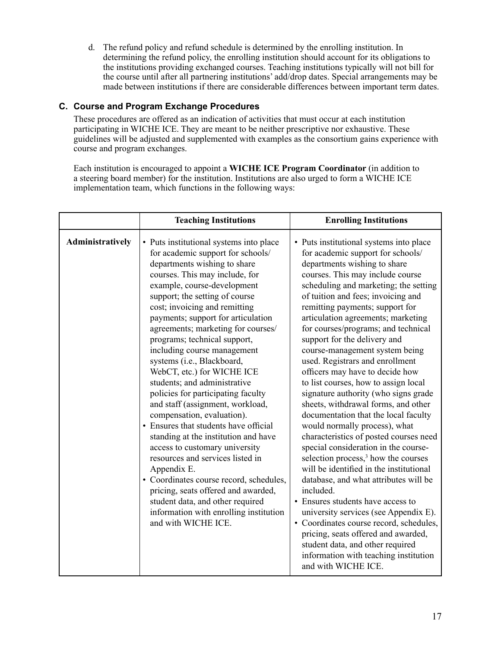d. The refund policy and refund schedule is determined by the enrolling institution. In determining the refund policy, the enrolling institution should account for its obligations to the institutions providing exchanged courses. Teaching institutions typically will not bill for the course until after all partnering institutions' add/drop dates. Special arrangements may be made between institutions if there are considerable differences between important term dates.

# **C. Course and Program Exchange Procedures**

These procedures are offered as an indication of activities that must occur at each institution participating in WICHE ICE. They are meant to be neither prescriptive nor exhaustive. These guidelines will be adjusted and supplemented with examples as the consortium gains experience with course and program exchanges.

Each institution is encouraged to appoint a **WICHE ICE Program Coordinator** (in addition to a steering board member) for the institution. Institutions are also urged to form a WICHE ICE implementation team, which functions in the following ways:

|                  | <b>Teaching Institutions</b>                                                                                                                                                                                                                                                                                                                                                                                                                                                                                                                                                                                                                                                                                                                                                                                                                                                                                                                                 | <b>Enrolling Institutions</b>                                                                                                                                                                                                                                                                                                                                                                                                                                                                                                                                                                                                                                                                                                                                                                                                                                                                                                                                                                                                                                                                                                                                                                     |
|------------------|--------------------------------------------------------------------------------------------------------------------------------------------------------------------------------------------------------------------------------------------------------------------------------------------------------------------------------------------------------------------------------------------------------------------------------------------------------------------------------------------------------------------------------------------------------------------------------------------------------------------------------------------------------------------------------------------------------------------------------------------------------------------------------------------------------------------------------------------------------------------------------------------------------------------------------------------------------------|---------------------------------------------------------------------------------------------------------------------------------------------------------------------------------------------------------------------------------------------------------------------------------------------------------------------------------------------------------------------------------------------------------------------------------------------------------------------------------------------------------------------------------------------------------------------------------------------------------------------------------------------------------------------------------------------------------------------------------------------------------------------------------------------------------------------------------------------------------------------------------------------------------------------------------------------------------------------------------------------------------------------------------------------------------------------------------------------------------------------------------------------------------------------------------------------------|
| Administratively | • Puts institutional systems into place<br>for academic support for schools/<br>departments wishing to share<br>courses. This may include, for<br>example, course-development<br>support; the setting of course<br>cost; invoicing and remitting<br>payments; support for articulation<br>agreements; marketing for courses/<br>programs; technical support,<br>including course management<br>systems (i.e., Blackboard,<br>WebCT, etc.) for WICHE ICE<br>students; and administrative<br>policies for participating faculty<br>and staff (assignment, workload,<br>compensation, evaluation).<br>• Ensures that students have official<br>standing at the institution and have<br>access to customary university<br>resources and services listed in<br>Appendix E.<br>• Coordinates course record, schedules,<br>pricing, seats offered and awarded,<br>student data, and other required<br>information with enrolling institution<br>and with WICHE ICE. | • Puts institutional systems into place<br>for academic support for schools/<br>departments wishing to share<br>courses. This may include course<br>scheduling and marketing; the setting<br>of tuition and fees; invoicing and<br>remitting payments; support for<br>articulation agreements; marketing<br>for courses/programs; and technical<br>support for the delivery and<br>course-management system being<br>used. Registrars and enrollment<br>officers may have to decide how<br>to list courses, how to assign local<br>signature authority (who signs grade<br>sheets, withdrawal forms, and other<br>documentation that the local faculty<br>would normally process), what<br>characteristics of posted courses need<br>special consideration in the course-<br>selection process, <sup>3</sup> how the courses<br>will be identified in the institutional<br>database, and what attributes will be<br>included.<br>• Ensures students have access to<br>university services (see Appendix E).<br>• Coordinates course record, schedules,<br>pricing, seats offered and awarded,<br>student data, and other required<br>information with teaching institution<br>and with WICHE ICE. |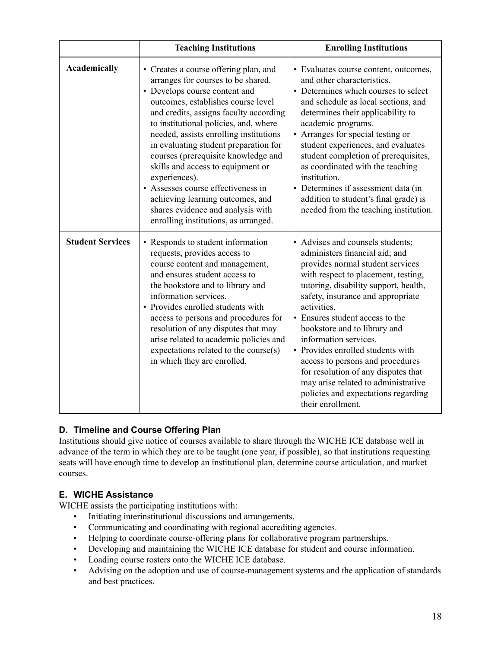|                         | <b>Teaching Institutions</b>                                                                                                                                                                                                                                                                                                                                                                                                                                                                                                                                                 | <b>Enrolling Institutions</b>                                                                                                                                                                                                                                                                                                                                                                                                                                                                                                                             |
|-------------------------|------------------------------------------------------------------------------------------------------------------------------------------------------------------------------------------------------------------------------------------------------------------------------------------------------------------------------------------------------------------------------------------------------------------------------------------------------------------------------------------------------------------------------------------------------------------------------|-----------------------------------------------------------------------------------------------------------------------------------------------------------------------------------------------------------------------------------------------------------------------------------------------------------------------------------------------------------------------------------------------------------------------------------------------------------------------------------------------------------------------------------------------------------|
| Academically            | • Creates a course offering plan, and<br>arranges for courses to be shared.<br>• Develops course content and<br>outcomes, establishes course level<br>and credits, assigns faculty according<br>to institutional policies, and, where<br>needed, assists enrolling institutions<br>in evaluating student preparation for<br>courses (prerequisite knowledge and<br>skills and access to equipment or<br>experiences).<br>• Assesses course effectiveness in<br>achieving learning outcomes, and<br>shares evidence and analysis with<br>enrolling institutions, as arranged. | • Evaluates course content, outcomes,<br>and other characteristics.<br>• Determines which courses to select<br>and schedule as local sections, and<br>determines their applicability to<br>academic programs.<br>• Arranges for special testing or<br>student experiences, and evaluates<br>student completion of prerequisites,<br>as coordinated with the teaching<br>institution.<br>• Determines if assessment data (in<br>addition to student's final grade) is<br>needed from the teaching institution.                                             |
| <b>Student Services</b> | • Responds to student information<br>requests, provides access to<br>course content and management,<br>and ensures student access to<br>the bookstore and to library and<br>information services.<br>• Provides enrolled students with<br>access to persons and procedures for<br>resolution of any disputes that may<br>arise related to academic policies and<br>expectations related to the course(s)<br>in which they are enrolled.                                                                                                                                      | • Advises and counsels students;<br>administers financial aid; and<br>provides normal student services<br>with respect to placement, testing,<br>tutoring, disability support, health,<br>safety, insurance and appropriate<br>activities.<br>• Ensures student access to the<br>bookstore and to library and<br>information services.<br>• Provides enrolled students with<br>access to persons and procedures<br>for resolution of any disputes that<br>may arise related to administrative<br>policies and expectations regarding<br>their enrollment. |

# **D. Timeline and Course Offering Plan**

Institutions should give notice of courses available to share through the WICHE ICE database well in advance of the term in which they are to be taught (one year, if possible), so that institutions requesting seats will have enough time to develop an institutional plan, determine course articulation, and market courses.

# **E. WICHE Assistance**

WICHE assists the participating institutions with:

- • Initiating interinstitutional discussions and arrangements.
- • Communicating and coordinating with regional accrediting agencies.
- • Helping to coordinate course-offering plans for collaborative program partnerships.
- • Developing and maintaining the WICHE ICE database for student and course information.
- • Loading course rosters onto the WICHE ICE database.
- Advising on the adoption and use of course-management systems and the application of standards and best practices.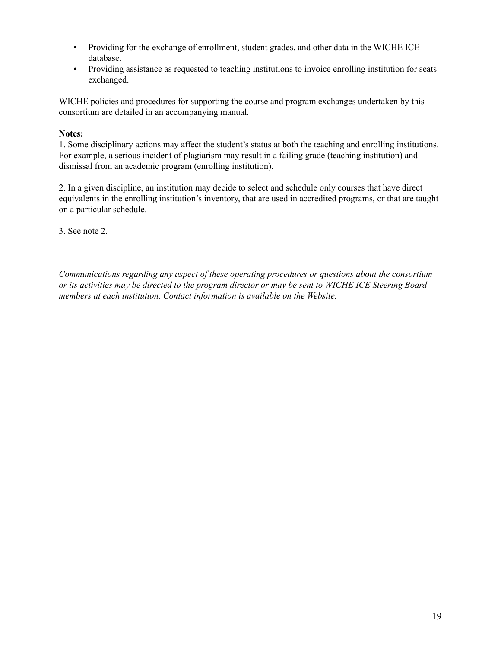- Providing for the exchange of enrollment, student grades, and other data in the WICHE ICE database.
- Providing assistance as requested to teaching institutions to invoice enrolling institution for seats exchanged.

WICHE policies and procedures for supporting the course and program exchanges undertaken by this consortium are detailed in an accompanying manual.

# **Notes:**

1. Some disciplinary actions may affect the student's status at both the teaching and enrolling institutions. For example, a serious incident of plagiarism may result in a failing grade (teaching institution) and dismissal from an academic program (enrolling institution).

2. In a given discipline, an institution may decide to select and schedule only courses that have direct equivalents in the enrolling institution's inventory, that are used in accredited programs, or that are taught on a particular schedule.

3. See note 2.

*Communications regarding any aspect of these operating procedures or questions about the consortium or its activities may be directed to the program director or may be sent to WICHE ICE Steering Board members at each institution. Contact information is available on the Website.*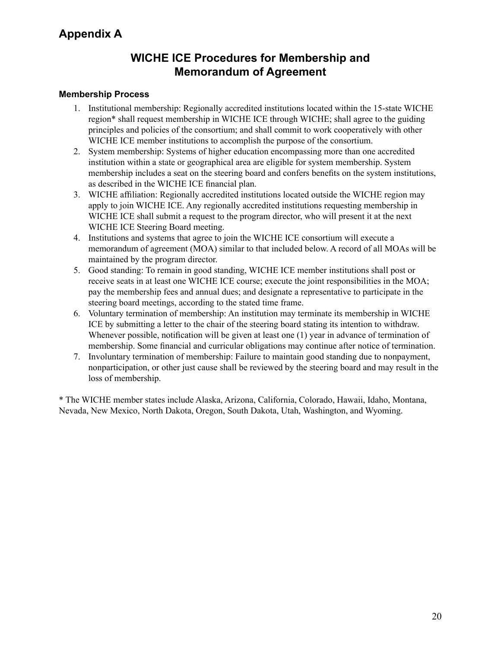# **WICHE ICE Procedures for Membership and Memorandum of Agreement**

## **Membership Process**

- 1. Institutional membership: Regionally accredited institutions located within the 15-state WICHE region\* shall request membership in WICHE ICE through WICHE; shall agree to the guiding principles and policies of the consortium; and shall commit to work cooperatively with other WICHE ICE member institutions to accomplish the purpose of the consortium.
- 2. System membership: Systems of higher education encompassing more than one accredited institution within a state or geographical area are eligible for system membership. System membership includes a seat on the steering board and confers benefits on the system institutions, as described in the WICHE ICE financial plan.
- 3. WICHE affiliation: Regionally accredited institutions located outside the WICHE region may apply to join WICHE ICE. Any regionally accredited institutions requesting membership in WICHE ICE shall submit a request to the program director, who will present it at the next WICHE ICE Steering Board meeting.
- 4. Institutions and systems that agree to join the WICHE ICE consortium will execute a memorandum of agreement (MOA) similar to that included below. A record of all MOAs will be maintained by the program director.
- 5. Good standing: To remain in good standing, WICHE ICE member institutions shall post or receive seats in at least one WICHE ICE course; execute the joint responsibilities in the MOA; pay the membership fees and annual dues; and designate a representative to participate in the steering board meetings, according to the stated time frame.
- 6. Voluntary termination of membership: An institution may terminate its membership in WICHE ICE by submitting a letter to the chair of the steering board stating its intention to withdraw. Whenever possible, notification will be given at least one (1) year in advance of termination of membership. Some financial and curricular obligations may continue after notice of termination.
- 7. Involuntary termination of membership: Failure to maintain good standing due to nonpayment, nonparticipation, or other just cause shall be reviewed by the steering board and may result in the loss of membership.

\* The WICHE member states include Alaska, Arizona, California, Colorado, Hawaii, Idaho, Montana, Nevada, New Mexico, North Dakota, Oregon, South Dakota, Utah, Washington, and Wyoming.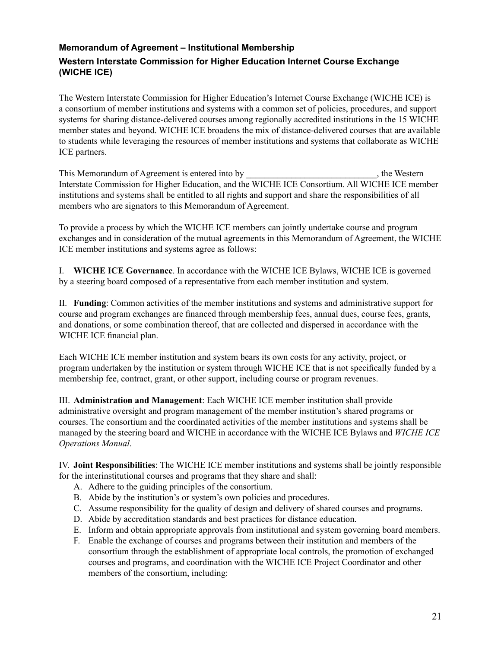# **Memorandum of Agreement – Institutional Membership Western Interstate Commission for Higher Education Internet Course Exchange (WICHE ICE)**

The Western Interstate Commission for Higher Education's Internet Course Exchange (WICHE ICE) is a consortium of member institutions and systems with a common set of policies, procedures, and support systems for sharing distance-delivered courses among regionally accredited institutions in the 15 WICHE member states and beyond. WICHE ICE broadens the mix of distance-delivered courses that are available to students while leveraging the resources of member institutions and systems that collaborate as WICHE ICE partners.

This Memorandum of Agreement is entered into by the Western the Western state of  $\mathbb{R}^n$ . Interstate Commission for Higher Education, and the WICHE ICE Consortium. All WICHE ICE member institutions and systems shall be entitled to all rights and support and share the responsibilities of all members who are signators to this Memorandum of Agreement.

To provide a process by which the WICHE ICE members can jointly undertake course and program exchanges and in consideration of the mutual agreements in this Memorandum of Agreement, the WICHE ICE member institutions and systems agree as follows:

I. **WICHE ICE Governance**. In accordance with the WICHE ICE Bylaws, WICHE ICE is governed by a steering board composed of a representative from each member institution and system.

II. **Funding**: Common activities of the member institutions and systems and administrative support for course and program exchanges are financed through membership fees, annual dues, course fees, grants, and donations, or some combination thereof, that are collected and dispersed in accordance with the WICHE ICE financial plan.

Each WICHE ICE member institution and system bears its own costs for any activity, project, or program undertaken by the institution or system through WICHE ICE that is not specifically funded by a membership fee, contract, grant, or other support, including course or program revenues.

III. **Administration and Management**: Each WICHE ICE member institution shall provide administrative oversight and program management of the member institution's shared programs or courses. The consortium and the coordinated activities of the member institutions and systems shall be managed by the steering board and WICHE in accordance with the WICHE ICE Bylaws and *WICHE ICE Operations Manual*.

IV. **Joint Responsibilities**: The WICHE ICE member institutions and systems shall be jointly responsible for the interinstitutional courses and programs that they share and shall:

- A. Adhere to the guiding principles of the consortium.
- B. Abide by the institution's or system's own policies and procedures.
- C. Assume responsibility for the quality of design and delivery of shared courses and programs.
- D. Abide by accreditation standards and best practices for distance education.
- E. Inform and obtain appropriate approvals from institutional and system governing board members.
- F. Enable the exchange of courses and programs between their institution and members of the consortium through the establishment of appropriate local controls, the promotion of exchanged courses and programs, and coordination with the WICHE ICE Project Coordinator and other members of the consortium, including: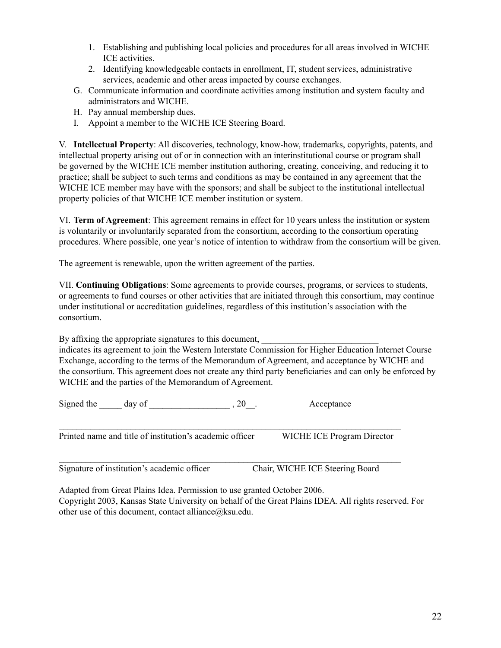- 1. Establishing and publishing local policies and procedures for all areas involved in WICHE ICE activities.
- 2. Identifying knowledgeable contacts in enrollment, IT, student services, administrative services, academic and other areas impacted by course exchanges.
- G. Communicate information and coordinate activities among institution and system faculty and administrators and WICHE.
- H. Pay annual membership dues.
- I. Appoint a member to the WICHE ICE Steering Board.

V. **Intellectual Property**: All discoveries, technology, know-how, trademarks, copyrights, patents, and intellectual property arising out of or in connection with an interinstitutional course or program shall be governed by the WICHE ICE member institution authoring, creating, conceiving, and reducing it to practice; shall be subject to such terms and conditions as may be contained in any agreement that the WICHE ICE member may have with the sponsors; and shall be subject to the institutional intellectual property policies of that WICHE ICE member institution or system.

VI. **Term of Agreement**: This agreement remains in effect for 10 years unless the institution or system is voluntarily or involuntarily separated from the consortium, according to the consortium operating procedures. Where possible, one year's notice of intention to withdraw from the consortium will be given.

The agreement is renewable, upon the written agreement of the parties.

VII. **Continuing Obligations**: Some agreements to provide courses, programs, or services to students, or agreements to fund courses or other activities that are initiated through this consortium, may continue under institutional or accreditation guidelines, regardless of this institution's association with the consortium.

By affixing the appropriate signatures to this document,

indicates its agreement to join the Western Interstate Commission for Higher Education Internet Course Exchange, according to the terms of the Memorandum of Agreement, and acceptance by WICHE and the consortium. This agreement does not create any third party beneficiaries and can only be enforced by WICHE and the parties of the Memorandum of Agreement.

Signed the day of  $\qquad \qquad$  , 20.

\_\_\_\_\_\_\_\_\_\_\_\_\_\_\_\_\_\_\_\_\_\_\_\_\_\_\_\_\_\_\_\_\_\_\_\_\_\_\_\_\_\_\_\_\_\_\_\_\_\_\_\_\_\_\_\_\_\_\_\_\_\_\_\_\_\_\_\_\_\_\_\_\_\_\_\_ Printed name and title of institution's academic officer WICHE ICE Program Director

\_\_\_\_\_\_\_\_\_\_\_\_\_\_\_\_\_\_\_\_\_\_\_\_\_\_\_\_\_\_\_\_\_\_\_\_\_\_\_\_\_\_\_\_\_\_\_\_\_\_\_\_\_\_\_\_\_\_\_\_\_\_\_\_\_\_\_\_\_\_\_\_\_\_\_\_

Signature of institution's academic officer Chair, WICHE ICE Steering Board

Adapted from Great Plains Idea. Permission to use granted October 2006. Copyright 2003, Kansas State University on behalf of the Great Plains IDEA. All rights reserved. For other use of this document, contact alliance@ksu.edu.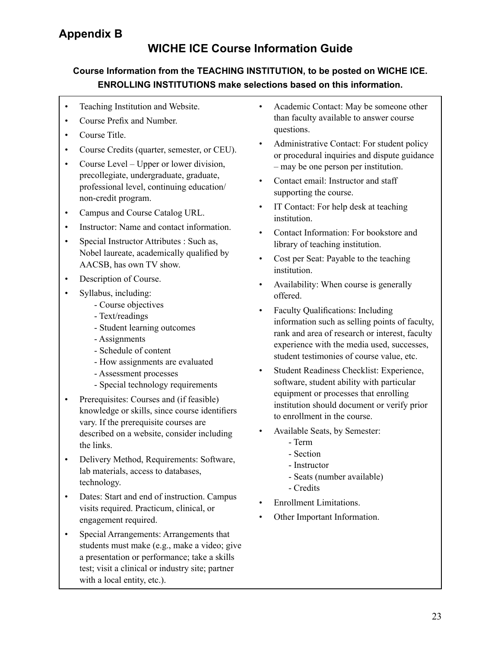# **Appendix B**

# **WICHE ICE Course Information Guide**

# **Course Information from the TEACHING INSTITUTION, to be posted on WICHE ICE. ENROLLING INSTITUTIONS make selections based on this information.**

- Teaching Institution and Website.
- • Course Prefix and Number.
- Course Title.
- • Course Credits (quarter, semester, or CEU).
- Course Level Upper or lower division, precollegiate, undergraduate, graduate, professional level, continuing education/ non-credit program.
- • Campus and Course Catalog URL.
- Instructor: Name and contact information.
- Special Instructor Attributes : Such as, Nobel laureate, academically qualified by AACSB, has own TV show.
- Description of Course.
- Syllabus, including:
	- Course objectives
	- Text/readings
	- Student learning outcomes
	- Assignments
	- Schedule of content
	- How assignments are evaluated
	- Assessment processes
	- Special technology requirements
- Prerequisites: Courses and (if feasible) knowledge or skills, since course identifiers vary. If the prerequisite courses are described on a website, consider including the links.
- Delivery Method, Requirements: Software, lab materials, access to databases, technology.
- • Dates: Start and end of instruction. Campus visits required. Practicum, clinical, or engagement required.
- • Special Arrangements: Arrangements that students must make (e.g., make a video; give a presentation or performance; take a skills test; visit a clinical or industry site; partner with a local entity, etc.).
- Academic Contact: May be someone other than faculty available to answer course questions.
- Administrative Contact: For student policy or procedural inquiries and dispute guidance – may be one person per institution.
- Contact email: Instructor and staff supporting the course.
- IT Contact: For help desk at teaching institution.
- • Contact Information: For bookstore and library of teaching institution.
- Cost per Seat: Payable to the teaching institution.
- Availability: When course is generally offered.
- Faculty Qualifications: Including information such as selling points of faculty, rank and area of research or interest, faculty experience with the media used, successes, student testimonies of course value, etc.
- Student Readiness Checklist: Experience, software, student ability with particular equipment or processes that enrolling institution should document or verify prior to enrollment in the course.
- Available Seats, by Semester:
	- Term
	- Section
	- Instructor
	- Seats (number available)
	- Credits
- **Enrollment Limitations.**
- Other Important Information.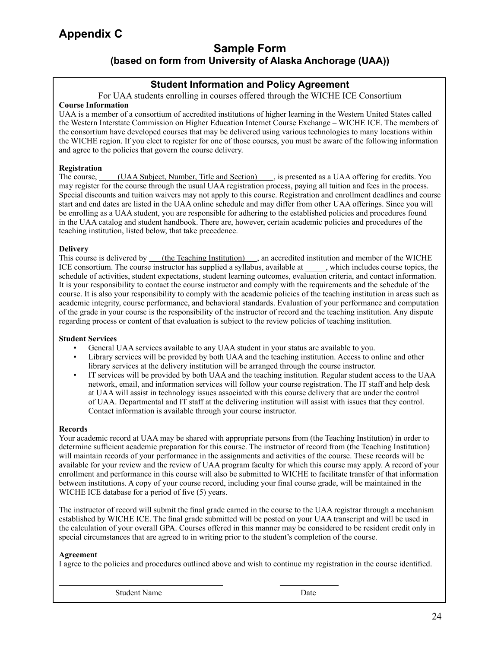# **Sample Form (based on form from University of Alaska Anchorage (UAA))**

# **Student Information and Policy Agreement**

For UAA students enrolling in courses offered through the WICHE ICE Consortium

### **Course Information**

UAA is a member of a consortium of accredited institutions of higher learning in the Western United States called the Western Interstate Commission on Higher Education Internet Course Exchange – WICHE ICE. The members of the consortium have developed courses that may be delivered using various technologies to many locations within the WICHE region. If you elect to register for one of those courses, you must be aware of the following information and agree to the policies that govern the course delivery.

#### **Registration**

The course, **(UAA Subject, Number, Title and Section)**, is presented as a UAA offering for credits. You may register for the course through the usual UAA registration process, paying all tuition and fees in the process. Special discounts and tuition waivers may not apply to this course. Registration and enrollment deadlines and course start and end dates are listed in the UAA online schedule and may differ from other UAA offerings. Since you will be enrolling as a UAA student, you are responsible for adhering to the established policies and procedures found in the UAA catalog and student handbook. There are, however, certain academic policies and procedures of the teaching institution, listed below, that take precedence.

#### **Delivery**

This course is delivered by (the Teaching Institution) , an accredited institution and member of the WICHE ICE consortium. The course instructor has supplied a syllabus, available at , which includes course topics, the schedule of activities, student expectations, student learning outcomes, evaluation criteria, and contact information. It is your responsibility to contact the course instructor and comply with the requirements and the schedule of the course. It is also your responsibility to comply with the academic policies of the teaching institution in areas such as academic integrity, course performance, and behavioral standards. Evaluation of your performance and computation of the grade in your course is the responsibility of the instructor of record and the teaching institution. Any dispute regarding process or content of that evaluation is subject to the review policies of teaching institution.

#### **Student Services**

- General UAA services available to any UAA student in your status are available to you.
- Library services will be provided by both UAA and the teaching institution. Access to online and other library services at the delivery institution will be arranged through the course instructor.
- IT services will be provided by both UAA and the teaching institution. Regular student access to the UAA network, email, and information services will follow your course registration. The IT staff and help desk at UAA will assist in technology issues associated with this course delivery that are under the control of UAA. Departmental and IT staff at the delivering institution will assist with issues that they control. Contact information is available through your course instructor.

#### **Records**

Your academic record at UAA may be shared with appropriate persons from (the Teaching Institution) in order to determine sufficient academic preparation for this course. The instructor of record from (the Teaching Institution) will maintain records of your performance in the assignments and activities of the course. These records will be available for your review and the review of UAA program faculty for which this course may apply. A record of your enrollment and performance in this course will also be submitted to WICHE to facilitate transfer of that information between institutions. A copy of your course record, including your final course grade, will be maintained in the WICHE ICE database for a period of five (5) years.

The instructor of record will submit the final grade earned in the course to the UAA registrar through a mechanism established by WICHE ICE. The final grade submitted will be posted on your UAA transcript and will be used in the calculation of your overall GPA. Courses offered in this manner may be considered to be resident credit only in special circumstances that are agreed to in writing prior to the student's completion of the course.

#### **Agreement**

 $\overline{a}$ 

I agree to the policies and procedures outlined above and wish to continue my registration in the course identified.

Student Name Date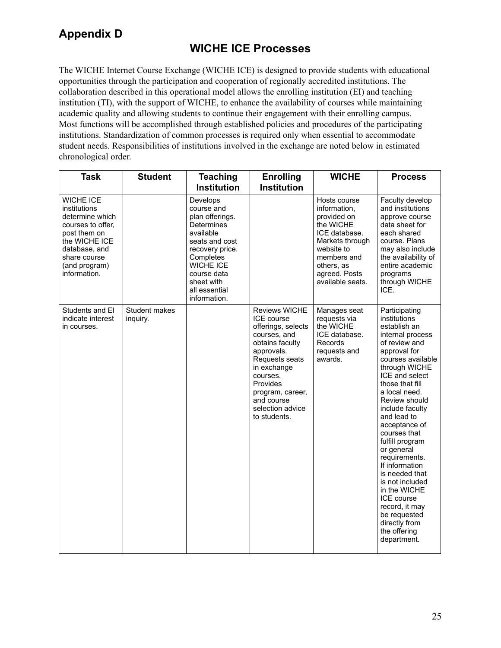# **Appendix D**

# **WICHE ICE Processes**

The WICHE Internet Course Exchange (WICHE ICE) is designed to provide students with educational opportunities through the participation and cooperation of regionally accredited institutions. The collaboration described in this operational model allows the enrolling institution (EI) and teaching institution (TI), with the support of WICHE, to enhance the availability of courses while maintaining academic quality and allowing students to continue their engagement with their enrolling campus. Most functions will be accomplished through established policies and procedures of the participating institutions. Standardization of common processes is required only when essential to accommodate student needs. Responsibilities of institutions involved in the exchange are noted below in estimated chronological order.

| <b>Task</b>                                                                                                                                                                 | <b>Student</b>            | <b>Teaching</b>                                                                                                                                                                                                                | <b>Enrolling</b>                                                                                                                                                                                                                         | <b>WICHE</b>                                                                                                                                                                 | <b>Process</b>                                                                                                                                                                                                                                                                                                                                                                                                                                                                                              |
|-----------------------------------------------------------------------------------------------------------------------------------------------------------------------------|---------------------------|--------------------------------------------------------------------------------------------------------------------------------------------------------------------------------------------------------------------------------|------------------------------------------------------------------------------------------------------------------------------------------------------------------------------------------------------------------------------------------|------------------------------------------------------------------------------------------------------------------------------------------------------------------------------|-------------------------------------------------------------------------------------------------------------------------------------------------------------------------------------------------------------------------------------------------------------------------------------------------------------------------------------------------------------------------------------------------------------------------------------------------------------------------------------------------------------|
| <b>WICHE ICE</b><br>institutions<br>determine which<br>courses to offer,<br>post them on<br>the WICHE ICE<br>database, and<br>share course<br>(and program)<br>information. |                           | <b>Institution</b><br>Develops<br>course and<br>plan offerings.<br>Determines<br>available<br>seats and cost<br>recovery price.<br>Completes<br><b>WICHE ICE</b><br>course data<br>sheet with<br>all essential<br>information. | <b>Institution</b>                                                                                                                                                                                                                       | Hosts course<br>information,<br>provided on<br>the WICHE<br>ICE database.<br>Markets through<br>website to<br>members and<br>others, as<br>agreed. Posts<br>available seats. | Faculty develop<br>and institutions<br>approve course<br>data sheet for<br>each shared<br>course. Plans<br>may also include<br>the availability of<br>entire academic<br>programs<br>through WICHE<br>ICE.                                                                                                                                                                                                                                                                                                  |
| Students and EI<br>indicate interest<br>in courses.                                                                                                                         | Student makes<br>inquiry. |                                                                                                                                                                                                                                | <b>Reviews WICHE</b><br>ICE course<br>offerings, selects<br>courses, and<br>obtains faculty<br>approvals.<br>Requests seats<br>in exchange<br>courses.<br>Provides<br>program, career,<br>and course<br>selection advice<br>to students. | Manages seat<br>requests via<br>the WICHE<br>ICE database.<br>Records<br>requests and<br>awards.                                                                             | Participating<br>institutions<br>establish an<br>internal process<br>of review and<br>approval for<br>courses available<br>through WICHE<br>ICE and select<br>those that fill<br>a local need.<br>Review should<br>include faculty<br>and lead to<br>acceptance of<br>courses that<br>fulfill program<br>or general<br>requirements.<br>If information<br>is needed that<br>is not included<br>in the WICHE<br>ICE course<br>record, it may<br>be requested<br>directly from<br>the offering<br>department. |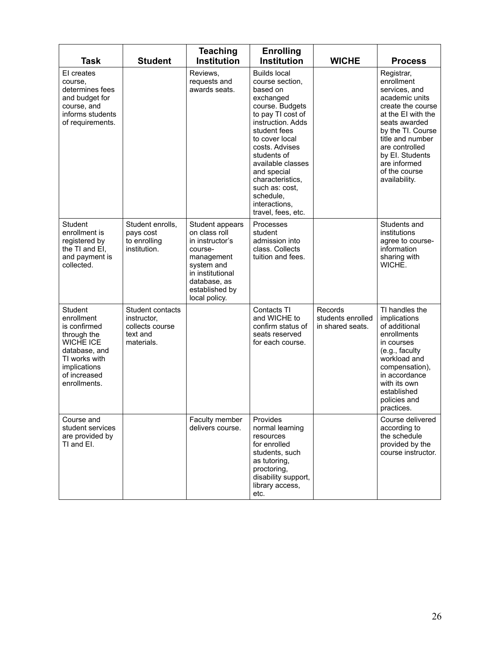| <b>Task</b>                                                                                                                                                       | <b>Student</b>                                                               | <b>Teaching</b><br><b>Institution</b>                                                                                                                             | <b>Enrolling</b><br><b>Institution</b>                                                                                                                                                                                                                                                                                        | <b>WICHE</b>                                     | <b>Process</b>                                                                                                                                                                                                                                          |
|-------------------------------------------------------------------------------------------------------------------------------------------------------------------|------------------------------------------------------------------------------|-------------------------------------------------------------------------------------------------------------------------------------------------------------------|-------------------------------------------------------------------------------------------------------------------------------------------------------------------------------------------------------------------------------------------------------------------------------------------------------------------------------|--------------------------------------------------|---------------------------------------------------------------------------------------------------------------------------------------------------------------------------------------------------------------------------------------------------------|
| El creates<br>course,<br>determines fees<br>and budget for<br>course, and<br>informs students<br>of requirements.                                                 |                                                                              | Reviews,<br>requests and<br>awards seats.                                                                                                                         | <b>Builds local</b><br>course section,<br>based on<br>exchanged<br>course. Budgets<br>to pay TI cost of<br>instruction. Adds<br>student fees<br>to cover local<br>costs. Advises<br>students of<br>available classes<br>and special<br>characteristics,<br>such as: cost,<br>schedule,<br>interactions,<br>travel, fees, etc. |                                                  | Registrar,<br>enrollment<br>services, and<br>academic units<br>create the course<br>at the EI with the<br>seats awarded<br>by the TI. Course<br>title and number<br>are controlled<br>by El. Students<br>are informed<br>of the course<br>availability. |
| <b>Student</b><br>enrollment is<br>registered by<br>the TI and EI,<br>and payment is<br>collected.                                                                | Student enrolls,<br>pays cost<br>to enrolling<br>institution.                | Student appears<br>on class roll<br>in instructor's<br>course-<br>management<br>system and<br>in institutional<br>database, as<br>established by<br>local policy. | Processes<br>student<br>admission into<br>class. Collects<br>tuition and fees.                                                                                                                                                                                                                                                |                                                  | Students and<br>institutions<br>agree to course-<br>information<br>sharing with<br>WICHE.                                                                                                                                                               |
| <b>Student</b><br>enrollment<br>is confirmed<br>through the<br><b>WICHE ICE</b><br>database, and<br>TI works with<br>implications<br>of increased<br>enrollments. | Student contacts<br>instructor.<br>collects course<br>text and<br>materials. |                                                                                                                                                                   | Contacts TI<br>and WICHE to<br>confirm status of<br>seats reserved<br>for each course.                                                                                                                                                                                                                                        | Records<br>students enrolled<br>in shared seats. | TI handles the<br>implications<br>of additional<br>enrollments<br>in courses<br>(e.g., faculty<br>workload and<br>compensation),<br>in accordance<br>with its own<br>established<br>policies and<br>practices.                                          |
| Course and<br>student services<br>are provided by<br>TI and EI.                                                                                                   |                                                                              | Faculty member<br>delivers course.                                                                                                                                | Provides<br>normal learning<br>resources<br>for enrolled<br>students, such<br>as tutoring,<br>proctoring,<br>disability support,<br>library access,<br>etc.                                                                                                                                                                   |                                                  | Course delivered<br>according to<br>the schedule<br>provided by the<br>course instructor.                                                                                                                                                               |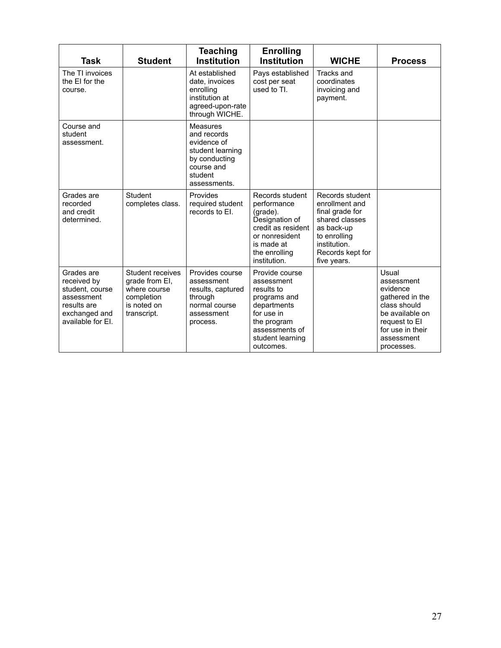| <b>Task</b>                                                                                                    | <b>Student</b>                                                                                 | <b>Teaching</b><br><b>Institution</b>                                                                                | <b>Enrolling</b><br><b>Institution</b>                                                                                                                    | <b>WICHE</b>                                                                                                                                            | <b>Process</b>                                                                                                                                         |
|----------------------------------------------------------------------------------------------------------------|------------------------------------------------------------------------------------------------|----------------------------------------------------------------------------------------------------------------------|-----------------------------------------------------------------------------------------------------------------------------------------------------------|---------------------------------------------------------------------------------------------------------------------------------------------------------|--------------------------------------------------------------------------------------------------------------------------------------------------------|
| The TI invoices<br>the EI for the<br>course.                                                                   |                                                                                                | At established<br>date, invoices<br>enrolling<br>institution at<br>agreed-upon-rate<br>through WICHE.                | Pays established<br>cost per seat<br>used to TI.                                                                                                          | Tracks and<br>coordinates<br>invoicing and<br>payment.                                                                                                  |                                                                                                                                                        |
| Course and<br>student<br>assessment.                                                                           |                                                                                                | Measures<br>and records<br>evidence of<br>student learning<br>by conducting<br>course and<br>student<br>assessments. |                                                                                                                                                           |                                                                                                                                                         |                                                                                                                                                        |
| Grades are<br>recorded<br>and credit<br>determined.                                                            | Student<br>completes class.                                                                    | Provides<br>required student<br>records to EI.                                                                       | Records student<br>performance<br>(grade).<br>Designation of<br>credit as resident<br>or nonresident<br>is made at<br>the enrolling<br>institution.       | Records student<br>enrollment and<br>final grade for<br>shared classes<br>as back-up<br>to enrolling<br>institution.<br>Records kept for<br>five years. |                                                                                                                                                        |
| Grades are<br>received by<br>student, course<br>assessment<br>results are<br>exchanged and<br>available for FL | Student receives<br>grade from EI.<br>where course<br>completion<br>is noted on<br>transcript. | Provides course<br>assessment<br>results, captured<br>through<br>normal course<br>assessment<br>process.             | Provide course<br>assessment<br>results to<br>programs and<br>departments<br>for use in<br>the program<br>assessments of<br>student learning<br>outcomes. |                                                                                                                                                         | Usual<br>assessment<br>evidence<br>gathered in the<br>class should<br>be available on<br>request to EI<br>for use in their<br>assessment<br>processes. |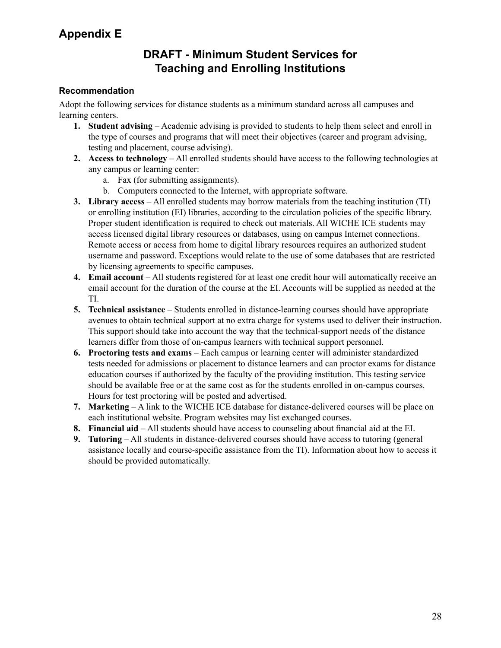# **Appendix E**

# **DRAFT - Minimum Student Services for Teaching and Enrolling Institutions**

# **Recommendation**

Adopt the following services for distance students as a minimum standard across all campuses and learning centers.

- **1. Student advising**  Academic advising is provided to students to help them select and enroll in the type of courses and programs that will meet their objectives (career and program advising, testing and placement, course advising).
- **2. Access to technology** All enrolled students should have access to the following technologies at any campus or learning center:
	- a. Fax (for submitting assignments).
	- b. Computers connected to the Internet, with appropriate software.
- **3. Library access**  All enrolled students may borrow materials from the teaching institution (TI) or enrolling institution (EI) libraries, according to the circulation policies of the specific library. Proper student identification is required to check out materials. All WICHE ICE students may access licensed digital library resources or databases, using on campus Internet connections. Remote access or access from home to digital library resources requires an authorized student username and password. Exceptions would relate to the use of some databases that are restricted by licensing agreements to specific campuses.
- **4. Email account** All students registered for at least one credit hour will automatically receive an email account for the duration of the course at the EI. Accounts will be supplied as needed at the TI.
- **5. Technical assistance**  Students enrolled in distance-learning courses should have appropriate avenues to obtain technical support at no extra charge for systems used to deliver their instruction. This support should take into account the way that the technical-support needs of the distance learners differ from those of on-campus learners with technical support personnel.
- **6. Proctoring tests and exams** Each campus or learning center will administer standardized tests needed for admissions or placement to distance learners and can proctor exams for distance education courses if authorized by the faculty of the providing institution. This testing service should be available free or at the same cost as for the students enrolled in on-campus courses. Hours for test proctoring will be posted and advertised.
- **7. Marketing** A link to the WICHE ICE database for distance-delivered courses will be place on each institutional website. Program websites may list exchanged courses.
- **8. Financial aid** All students should have access to counseling about financial aid at the EI.
- **9. Tutoring** All students in distance-delivered courses should have access to tutoring (general assistance locally and course-specific assistance from the TI). Information about how to access it should be provided automatically.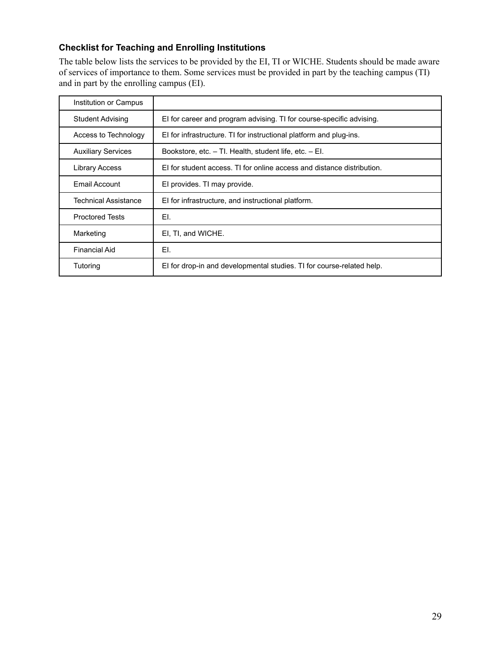# **Checklist for Teaching and Enrolling Institutions**

The table below lists the services to be provided by the EI, TI or WICHE. Students should be made aware of services of importance to them. Some services must be provided in part by the teaching campus (TI) and in part by the enrolling campus (EI).

| Institution or Campus       |                                                                        |
|-----------------------------|------------------------------------------------------------------------|
| Student Advising            | El for career and program advising. TI for course-specific advising.   |
| Access to Technology        | El for infrastructure. TI for instructional platform and plug-ins.     |
| <b>Auxiliary Services</b>   | Bookstore, etc. – Tl. Health, student life, etc. – El.                 |
| Library Access              | El for student access. TI for online access and distance distribution. |
| Email Account               | El provides. TI may provide.                                           |
| <b>Technical Assistance</b> | El for infrastructure, and instructional platform.                     |
| <b>Proctored Tests</b>      | EI.                                                                    |
| Marketing                   | EI, TI, and WICHE.                                                     |
| Financial Aid               | EI.                                                                    |
| Tutoring                    | El for drop-in and developmental studies. TI for course-related help.  |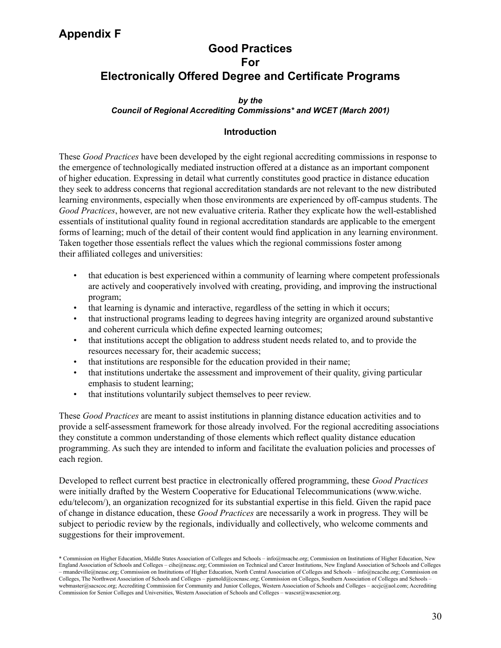# **Appendix F**

# **Good Practices For Electronically Offered Degree and Certificate Programs**

#### *by the Council of Regional Accrediting Commissions\* and WCET (March 2001)*

# **Introduction**

These *Good Practices* have been developed by the eight regional accrediting commissions in response to the emergence of technologically mediated instruction offered at a distance as an important component of higher education. Expressing in detail what currently constitutes good practice in distance education they seek to address concerns that regional accreditation standards are not relevant to the new distributed learning environments, especially when those environments are experienced by off-campus students. The *Good Practices*, however, are not new evaluative criteria. Rather they explicate how the well-established essentials of institutional quality found in regional accreditation standards are applicable to the emergent forms of learning; much of the detail of their content would find application in any learning environment. Taken together those essentials reflect the values which the regional commissions foster among their affiliated colleges and universities:

- that education is best experienced within a community of learning where competent professionals are actively and cooperatively involved with creating, providing, and improving the instructional program;
- that learning is dynamic and interactive, regardless of the setting in which it occurs;
- that instructional programs leading to degrees having integrity are organized around substantive and coherent curricula which define expected learning outcomes;
- that institutions accept the obligation to address student needs related to, and to provide the resources necessary for, their academic success;
- that institutions are responsible for the education provided in their name;
- that institutions undertake the assessment and improvement of their quality, giving particular emphasis to student learning;
- that institutions voluntarily subject themselves to peer review.

These *Good Practices* are meant to assist institutions in planning distance education activities and to provide a self-assessment framework for those already involved. For the regional accrediting associations they constitute a common understanding of those elements which reflect quality distance education programming. As such they are intended to inform and facilitate the evaluation policies and processes of each region.

Developed to reflect current best practice in electronically offered programming, these *Good Practices* were initially drafted by the Western Cooperative for Educational Telecommunications (www.wiche. edu/telecom/), an organization recognized for its substantial expertise in this field. Given the rapid pace of change in distance education, these *Good Practices* are necessarily a work in progress. They will be subject to periodic review by the regionals, individually and collectively, who welcome comments and suggestions for their improvement.

<sup>\*</sup> Commission on Higher Education, Middle States Association of Colleges and Schools – info@msache.org; Commission on Institutions of Higher Education, New England Association of Schools and Colleges – cihe@neasc.org; Commission on Technical and Career Institutions, New England Association of Schools and Colleges – rmandeville@neasc.org; Commission on Institutions of Higher Education, North Central Association of Colleges and Schools – info@ncacihe.org; Commission on Colleges, The Northwest Association of Schools and Colleges – pjarnold@cocnasc.org; Commission on Colleges, Southern Association of Colleges and Schools – webmaster@sacscoc.org; Accrediting Commission for Community and Junior Colleges, Western Association of Schools and Colleges – accjc@aol.com; Accrediting Commission for Senior Colleges and Universities, Western Association of Schools and Colleges – wascsr@wascsenior.org.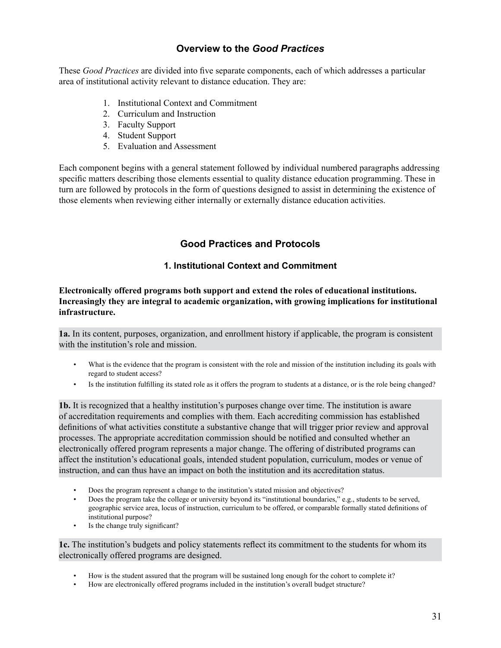# **Overview to the** *Good Practices*

These *Good Practices* are divided into five separate components, each of which addresses a particular area of institutional activity relevant to distance education. They are:

- 1. Institutional Context and Commitment
- 2. Curriculum and Instruction
- 3. Faculty Support
- 4. Student Support
- 5. Evaluation and Assessment

Each component begins with a general statement followed by individual numbered paragraphs addressing specific matters describing those elements essential to quality distance education programming. These in turn are followed by protocols in the form of questions designed to assist in determining the existence of those elements when reviewing either internally or externally distance education activities.

# **Good Practices and Protocols**

# **1. Institutional Context and Commitment**

**Electronically offered programs both support and extend the roles of educational institutions. Increasingly they are integral to academic organization, with growing implications for institutional infrastructure.**

**1a.** In its content, purposes, organization, and enrollment history if applicable, the program is consistent with the institution's role and mission

- What is the evidence that the program is consistent with the role and mission of the institution including its goals with regard to student access?
- Is the institution fulfilling its stated role as it offers the program to students at a distance, or is the role being changed?

**1b.** It is recognized that a healthy institution's purposes change over time. The institution is aware of accreditation requirements and complies with them. Each accrediting commission has established definitions of what activities constitute a substantive change that will trigger prior review and approval processes. The appropriate accreditation commission should be notified and consulted whether an electronically offered program represents a major change. The offering of distributed programs can affect the institution's educational goals, intended student population, curriculum, modes or venue of instruction, and can thus have an impact on both the institution and its accreditation status.

- Does the program represent a change to the institution's stated mission and objectives?
- Does the program take the college or university beyond its "institutional boundaries," e.g., students to be served, geographic service area, locus of instruction, curriculum to be offered, or comparable formally stated definitions of institutional purpose?
- Is the change truly significant?

**1c.** The institution's budgets and policy statements reflect its commitment to the students for whom its electronically offered programs are designed.

- How is the student assured that the program will be sustained long enough for the cohort to complete it?
- How are electronically offered programs included in the institution's overall budget structure?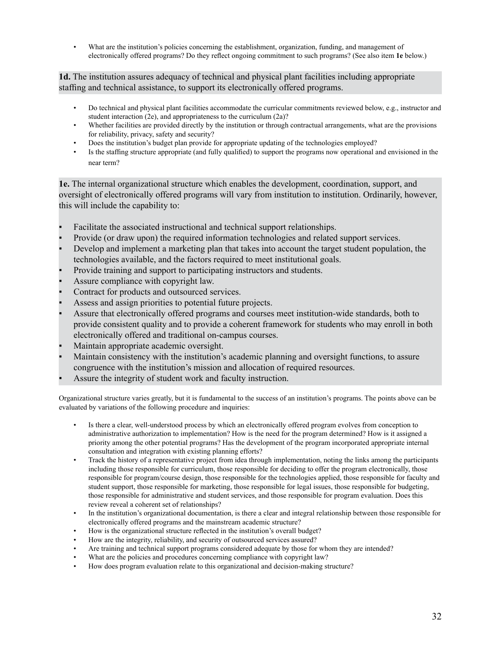What are the institution's policies concerning the establishment, organization, funding, and management of electronically offered programs? Do they reflect ongoing commitment to such programs? (See also item **1e** below.)

**1d.** The institution assures adequacy of technical and physical plant facilities including appropriate staffing and technical assistance, to support its electronically offered programs.

- Do technical and physical plant facilities accommodate the curricular commitments reviewed below, e.g., instructor and student interaction (2e), and appropriateness to the curriculum (2a)?
- Whether facilities are provided directly by the institution or through contractual arrangements, what are the provisions for reliability, privacy, safety and security?
- Does the institution's budget plan provide for appropriate updating of the technologies employed?
- Is the staffing structure appropriate (and fully qualified) to support the programs now operational and envisioned in the near term?

**1e.** The internal organizational structure which enables the development, coordination, support, and oversight of electronically offered programs will vary from institution to institution. Ordinarily, however, this will include the capability to:

- Facilitate the associated instructional and technical support relationships.
- Provide (or draw upon) the required information technologies and related support services.
- Develop and implement a marketing plan that takes into account the target student population, the technologies available, and the factors required to meet institutional goals.
- Provide training and support to participating instructors and students.
- Assure compliance with copyright law.
- Contract for products and outsourced services.
- Assess and assign priorities to potential future projects.
- Assure that electronically offered programs and courses meet institution-wide standards, both to provide consistent quality and to provide a coherent framework for students who may enroll in both electronically offered and traditional on-campus courses.
- Maintain appropriate academic oversight.
- Maintain consistency with the institution's academic planning and oversight functions, to assure congruence with the institution's mission and allocation of required resources.
- Assure the integrity of student work and faculty instruction.

Organizational structure varies greatly, but it is fundamental to the success of an institution's programs. The points above can be evaluated by variations of the following procedure and inquiries:

- Is there a clear, well-understood process by which an electronically offered program evolves from conception to administrative authorization to implementation? How is the need for the program determined? How is it assigned a priority among the other potential programs? Has the development of the program incorporated appropriate internal consultation and integration with existing planning efforts?
- Track the history of a representative project from idea through implementation, noting the links among the participants including those responsible for curriculum, those responsible for deciding to offer the program electronically, those responsible for program/course design, those responsible for the technologies applied, those responsible for faculty and student support, those responsible for marketing, those responsible for legal issues, those responsible for budgeting, those responsible for administrative and student services, and those responsible for program evaluation. Does this review reveal a coherent set of relationships?
- In the institution's organizational documentation, is there a clear and integral relationship between those responsible for electronically offered programs and the mainstream academic structure?
- How is the organizational structure reflected in the institution's overall budget?
- How are the integrity, reliability, and security of outsourced services assured?
- Are training and technical support programs considered adequate by those for whom they are intended?
- What are the policies and procedures concerning compliance with copyright law?
- How does program evaluation relate to this organizational and decision-making structure?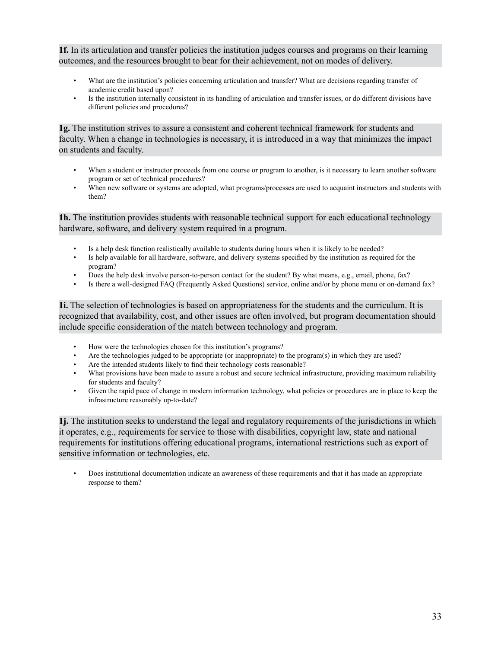**1f.** In its articulation and transfer policies the institution judges courses and programs on their learning outcomes, and the resources brought to bear for their achievement, not on modes of delivery.

- What are the institution's policies concerning articulation and transfer? What are decisions regarding transfer of academic credit based upon?
- Is the institution internally consistent in its handling of articulation and transfer issues, or do different divisions have different policies and procedures?

**1g.** The institution strives to assure a consistent and coherent technical framework for students and faculty. When a change in technologies is necessary, it is introduced in a way that minimizes the impact on students and faculty.

- When a student or instructor proceeds from one course or program to another, is it necessary to learn another software program or set of technical procedures?
- When new software or systems are adopted, what programs/processes are used to acquaint instructors and students with them?

**1h.** The institution provides students with reasonable technical support for each educational technology hardware, software, and delivery system required in a program.

- Is a help desk function realistically available to students during hours when it is likely to be needed?
- Is help available for all hardware, software, and delivery systems specified by the institution as required for the program?
- Does the help desk involve person-to-person contact for the student? By what means, e.g., email, phone, fax?
- Is there a well-designed FAQ (Frequently Asked Questions) service, online and/or by phone menu or on-demand fax?

**1i.** The selection of technologies is based on appropriateness for the students and the curriculum. It is recognized that availability, cost, and other issues are often involved, but program documentation should include specific consideration of the match between technology and program.

- How were the technologies chosen for this institution's programs?
- Are the technologies judged to be appropriate (or inappropriate) to the program $(s)$  in which they are used?
- Are the intended students likely to find their technology costs reasonable?
- What provisions have been made to assure a robust and secure technical infrastructure, providing maximum reliability for students and faculty?
- • Given the rapid pace of change in modern information technology, what policies or procedures are in place to keep the infrastructure reasonably up-to-date?

**1j.** The institution seeks to understand the legal and regulatory requirements of the jurisdictions in which it operates, e.g., requirements for service to those with disabilities, copyright law, state and national requirements for institutions offering educational programs, international restrictions such as export of sensitive information or technologies, etc.

Does institutional documentation indicate an awareness of these requirements and that it has made an appropriate response to them?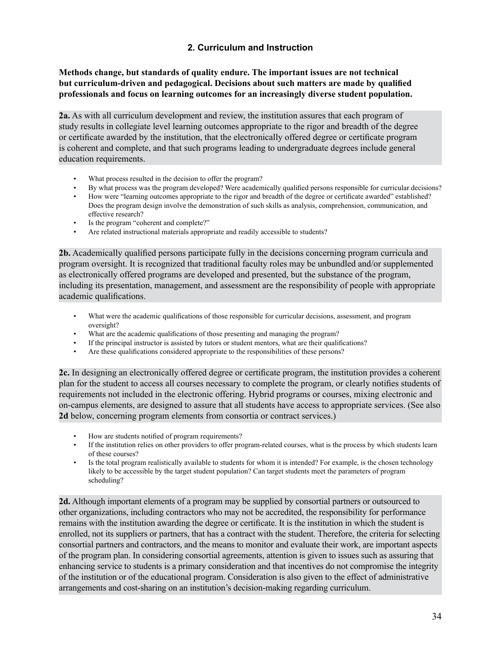# **2. Curriculum and Instruction**

## **Methods change, but standards of quality endure. The important issues are not technical but curriculum-driven and pedagogical. Decisions about such matters are made by qualified professionals and focus on learning outcomes for an increasingly diverse student population.**

**2a.** As with all curriculum development and review, the institution assures that each program of study results in collegiate level learning outcomes appropriate to the rigor and breadth of the degree or certificate awarded by the institution, that the electronically offered degree or certificate program is coherent and complete, and that such programs leading to undergraduate degrees include general education requirements.

- What process resulted in the decision to offer the program?
- By what process was the program developed? Were academically qualified persons responsible for curricular decisions?
- How were "learning outcomes appropriate to the rigor and breadth of the degree or certificate awarded" established? Does the program design involve the demonstration of such skills as analysis, comprehension, communication, and effective research?
- Is the program "coherent and complete?"
- Are related instructional materials appropriate and readily accessible to students?

**2b.** Academically qualified persons participate fully in the decisions concerning program curricula and program oversight. It is recognized that traditional faculty roles may be unbundled and/or supplemented as electronically offered programs are developed and presented, but the substance of the program, including its presentation, management, and assessment are the responsibility of people with appropriate academic qualifications.

- What were the academic qualifications of those responsible for curricular decisions, assessment, and program oversight?
- What are the academic qualifications of those presenting and managing the program?
- If the principal instructor is assisted by tutors or student mentors, what are their qualifications?
- Are these qualifications considered appropriate to the responsibilities of these persons?

**2c.** In designing an electronically offered degree or certificate program, the institution provides a coherent plan for the student to access all courses necessary to complete the program, or clearly notifies students of requirements not included in the electronic offering. Hybrid programs or courses, mixing electronic and on-campus elements, are designed to assure that all students have access to appropriate services. (See also **2d** below, concerning program elements from consortia or contract services.)

- How are students notified of program requirements?
- If the institution relies on other providers to offer program-related courses, what is the process by which students learn of these courses?
- Is the total program realistically available to students for whom it is intended? For example, is the chosen technology likely to be accessible by the target student population? Can target students meet the parameters of program scheduling?

**2d.** Although important elements of a program may be supplied by consortial partners or outsourced to other organizations, including contractors who may not be accredited, the responsibility for performance remains with the institution awarding the degree or certificate. It is the institution in which the student is enrolled, not its suppliers or partners, that has a contract with the student. Therefore, the criteria for selecting consortial partners and contractors, and the means to monitor and evaluate their work, are important aspects of the program plan. In considering consortial agreements, attention is given to issues such as assuring that enhancing service to students is a primary consideration and that incentives do not compromise the integrity of the institution or of the educational program. Consideration is also given to the effect of administrative arrangements and cost-sharing on an institution's decision-making regarding curriculum.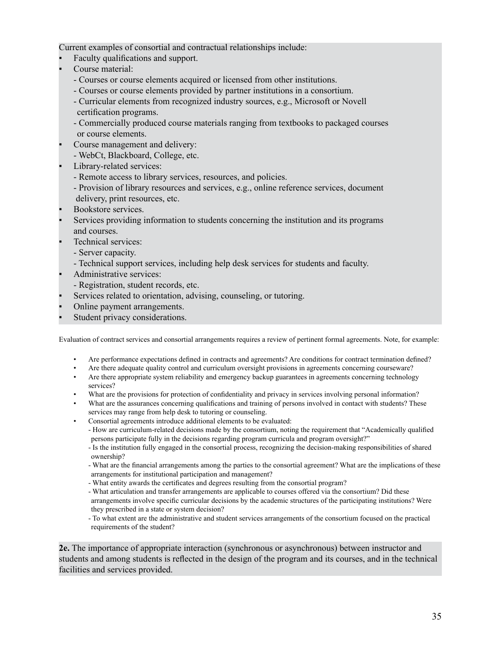Current examples of consortial and contractual relationships include:

- Faculty qualifications and support.
- Course material:
	- Courses or course elements acquired or licensed from other institutions.
	- Courses or course elements provided by partner institutions in a consortium.
	- Curricular elements from recognized industry sources, e.g., Microsoft or Novell  certification programs.
	- Commercially produced course materials ranging from textbooks to packaged courses or course elements.
	- Course management and delivery:
	- WebCt, Blackboard, College, etc.
- Library-related services:
	- Remote access to library services, resources, and policies.
	- Provision of library resources and services, e.g., online reference services, document delivery, print resources, etc.
- Bookstore services.
- Services providing information to students concerning the institution and its programs and courses.
- Technical services:
	- Server capacity.
	- Technical support services, including help desk services for students and faculty.
- Administrative services:
	- Registration, student records, etc.
- Services related to orientation, advising, counseling, or tutoring.
- Online payment arrangements.
- Student privacy considerations.

Evaluation of contract services and consortial arrangements requires a review of pertinent formal agreements. Note, for example:

- Are performance expectations defined in contracts and agreements? Are conditions for contract termination defined?
- Are there adequate quality control and curriculum oversight provisions in agreements concerning courseware?
- Are there appropriate system reliability and emergency backup guarantees in agreements concerning technology services?
- What are the provisions for protection of confidentiality and privacy in services involving personal information?
- What are the assurances concerning qualifications and training of persons involved in contact with students? These services may range from help desk to tutoring or counseling.
	- Consortial agreements introduce additional elements to be evaluated: - How are curriculum-related decisions made by the consortium, noting the requirement that "Academically qualified persons participate fully in the decisions regarding program curricula and program oversight?"
		- Is the institution fully engaged in the consortial process, recognizing the decision-making responsibilities of shared ownership?
		- What are the financial arrangements among the parties to the consortial agreement? What are the implications of these arrangements for institutional participation and management?
		- What entity awards the certificates and degrees resulting from the consortial program?

 - What articulation and transfer arrangements are applicable to courses offered via the consortium? Did these  arrangements involve specific curricular decisions by the academic structures of the participating institutions? Were they prescribed in a state or system decision?

 - To what extent are the administrative and student services arrangements of the consortium focused on the practical requirements of the student?

**2e.** The importance of appropriate interaction (synchronous or asynchronous) between instructor and students and among students is reflected in the design of the program and its courses, and in the technical facilities and services provided.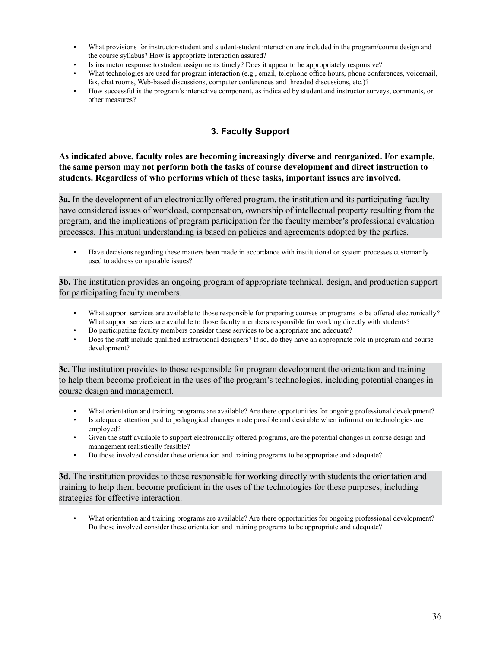- What provisions for instructor-student and student-student interaction are included in the program/course design and the course syllabus? How is appropriate interaction assured?
- Is instructor response to student assignments timely? Does it appear to be appropriately responsive?
- What technologies are used for program interaction (e.g., email, telephone office hours, phone conferences, voicemail, fax, chat rooms, Web-based discussions, computer conferences and threaded discussions, etc.)?
- How successful is the program's interactive component, as indicated by student and instructor surveys, comments, or other measures?

# **3. Faculty Support**

**As indicated above, faculty roles are becoming increasingly diverse and reorganized. For example, the same person may not perform both the tasks of course development and direct instruction to students. Regardless of who performs which of these tasks, important issues are involved.**

**3a.** In the development of an electronically offered program, the institution and its participating faculty have considered issues of workload, compensation, ownership of intellectual property resulting from the program, and the implications of program participation for the faculty member's professional evaluation processes. This mutual understanding is based on policies and agreements adopted by the parties.

Have decisions regarding these matters been made in accordance with institutional or system processes customarily used to address comparable issues?

**3b.** The institution provides an ongoing program of appropriate technical, design, and production support for participating faculty members.

- What support services are available to those responsible for preparing courses or programs to be offered electronically? What support services are available to those faculty members responsible for working directly with students?
- Do participating faculty members consider these services to be appropriate and adequate?
- Does the staff include qualified instructional designers? If so, do they have an appropriate role in program and course development?

**3c.** The institution provides to those responsible for program development the orientation and training to help them become proficient in the uses of the program's technologies, including potential changes in course design and management.

- What orientation and training programs are available? Are there opportunities for ongoing professional development?
- • Is adequate attention paid to pedagogical changes made possible and desirable when information technologies are employed?
- • Given the staff available to support electronically offered programs, are the potential changes in course design and management realistically feasible?
- • Do those involved consider these orientation and training programs to be appropriate and adequate?

**3d.** The institution provides to those responsible for working directly with students the orientation and training to help them become proficient in the uses of the technologies for these purposes, including strategies for effective interaction.

What orientation and training programs are available? Are there opportunities for ongoing professional development? Do those involved consider these orientation and training programs to be appropriate and adequate?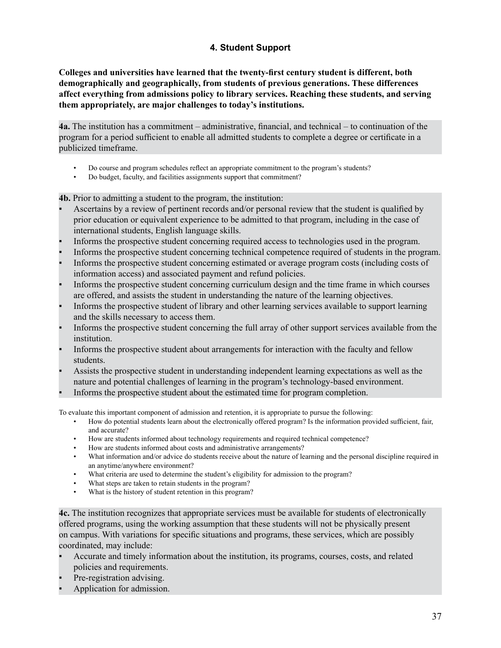# **4. Student Support**

**Colleges and universities have learned that the twenty-first century student is different, both demographically and geographically, from students of previous generations. These differences affect everything from admissions policy to library services. Reaching these students, and serving them appropriately, are major challenges to today's institutions.**

**4a.** The institution has a commitment – administrative, financial, and technical – to continuation of the program for a period sufficient to enable all admitted students to complete a degree or certificate in a publicized timeframe.

- Do course and program schedules reflect an appropriate commitment to the program's students?
- Do budget, faculty, and facilities assignments support that commitment?

**4b.** Prior to admitting a student to the program, the institution:

- Ascertains by a review of pertinent records and/or personal review that the student is qualified by prior education or equivalent experience to be admitted to that program, including in the case of international students, English language skills.
- Informs the prospective student concerning required access to technologies used in the program.
- Informs the prospective student concerning technical competence required of students in the program.
- Informs the prospective student concerning estimated or average program costs (including costs of information access) and associated payment and refund policies.
- Informs the prospective student concerning curriculum design and the time frame in which courses are offered, and assists the student in understanding the nature of the learning objectives.
- Informs the prospective student of library and other learning services available to support learning and the skills necessary to access them.
- Informs the prospective student concerning the full array of other support services available from the institution.
- Informs the prospective student about arrangements for interaction with the faculty and fellow students.
- Assists the prospective student in understanding independent learning expectations as well as the nature and potential challenges of learning in the program's technology-based environment.
- Informs the prospective student about the estimated time for program completion.

To evaluate this important component of admission and retention, it is appropriate to pursue the following:

- How do potential students learn about the electronically offered program? Is the information provided sufficient, fair, and accurate?
- • How are students informed about technology requirements and required technical competence?
- • How are students informed about costs and administrative arrangements?
- What information and/or advice do students receive about the nature of learning and the personal discipline required in an anytime/anywhere environment?
- What criteria are used to determine the student's eligibility for admission to the program?
- What steps are taken to retain students in the program?
- What is the history of student retention in this program?

**4c.** The institution recognizes that appropriate services must be available for students of electronically offered programs, using the working assumption that these students will not be physically present on campus. With variations for specific situations and programs, these services, which are possibly coordinated, may include:

- Accurate and timely information about the institution, its programs, courses, costs, and related policies and requirements.
- Pre-registration advising.
- Application for admission.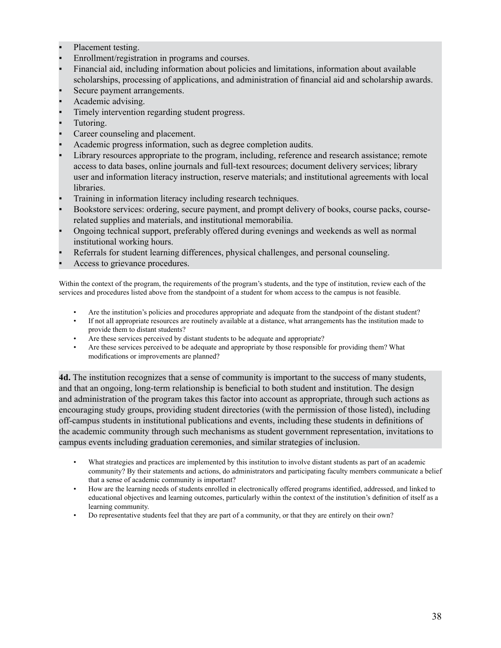- Placement testing.
- Enrollment/registration in programs and courses.
- Financial aid, including information about policies and limitations, information about available scholarships, processing of applications, and administration of financial aid and scholarship awards.
- Secure payment arrangements.
- Academic advising.
- Timely intervention regarding student progress.
- Tutoring.
- Career counseling and placement.
- Academic progress information, such as degree completion audits.
- Library resources appropriate to the program, including, reference and research assistance; remote access to data bases, online journals and full-text resources; document delivery services; library user and information literacy instruction, reserve materials; and institutional agreements with local libraries.
- Training in information literacy including research techniques.
- Bookstore services: ordering, secure payment, and prompt delivery of books, course packs, courserelated supplies and materials, and institutional memorabilia.
- Ongoing technical support, preferably offered during evenings and weekends as well as normal institutional working hours.
- Referrals for student learning differences, physical challenges, and personal counseling.
- Access to grievance procedures.

Within the context of the program, the requirements of the program's students, and the type of institution, review each of the services and procedures listed above from the standpoint of a student for whom access to the campus is not feasible.

- Are the institution's policies and procedures appropriate and adequate from the standpoint of the distant student?
- If not all appropriate resources are routinely available at a distance, what arrangements has the institution made to provide them to distant students?
- Are these services perceived by distant students to be adequate and appropriate?
- Are these services perceived to be adequate and appropriate by those responsible for providing them? What modifications or improvements are planned?

**4d.** The institution recognizes that a sense of community is important to the success of many students, and that an ongoing, long-term relationship is beneficial to both student and institution. The design and administration of the program takes this factor into account as appropriate, through such actions as encouraging study groups, providing student directories (with the permission of those listed), including off-campus students in institutional publications and events, including these students in definitions of the academic community through such mechanisms as student government representation, invitations to campus events including graduation ceremonies, and similar strategies of inclusion.

- What strategies and practices are implemented by this institution to involve distant students as part of an academic community? By their statements and actions, do administrators and participating faculty members communicate a belief that a sense of academic community is important?
- How are the learning needs of students enrolled in electronically offered programs identified, addressed, and linked to educational objectives and learning outcomes, particularly within the context of the institution's definition of itself as a learning community.
- Do representative students feel that they are part of a community, or that they are entirely on their own?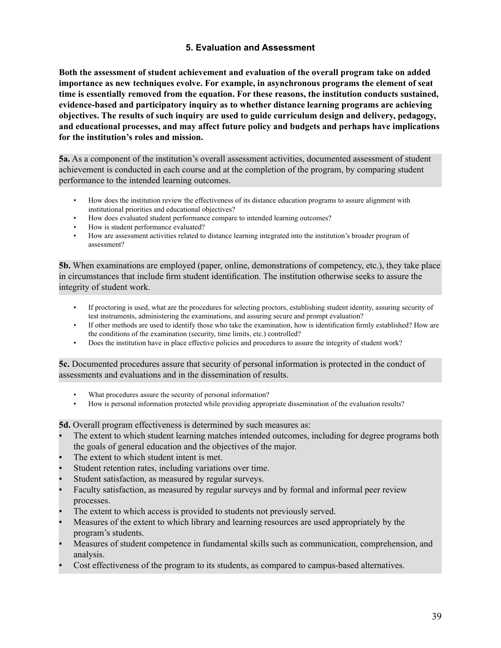# **5. Evaluation and Assessment**

**Both the assessment of student achievement and evaluation of the overall program take on added importance as new techniques evolve. For example, in asynchronous programs the element of seat time is essentially removed from the equation. For these reasons, the institution conducts sustained, evidence-based and participatory inquiry as to whether distance learning programs are achieving objectives. The results of such inquiry are used to guide curriculum design and delivery, pedagogy, and educational processes, and may affect future policy and budgets and perhaps have implications for the institution's roles and mission.**

**5a.** As a component of the institution's overall assessment activities, documented assessment of student achievement is conducted in each course and at the completion of the program, by comparing student performance to the intended learning outcomes.

- How does the institution review the effectiveness of its distance education programs to assure alignment with institutional priorities and educational objectives?
- How does evaluated student performance compare to intended learning outcomes?
- How is student performance evaluated?
- • How are assessment activities related to distance learning integrated into the institution's broader program of assessment?

**5b.** When examinations are employed (paper, online, demonstrations of competency, etc.), they take place in circumstances that include firm student identification. The institution otherwise seeks to assure the integrity of student work.

- If proctoring is used, what are the procedures for selecting proctors, establishing student identity, assuring security of test instruments, administering the examinations, and assuring secure and prompt evaluation?
- • If other methods are used to identify those who take the examination, how is identification firmly established? How are the conditions of the examination (security, time limits, etc.) controlled?
- Does the institution have in place effective policies and procedures to assure the integrity of student work?

**5c.** Documented procedures assure that security of personal information is protected in the conduct of assessments and evaluations and in the dissemination of results.

- What procedures assure the security of personal information?
- How is personal information protected while providing appropriate dissemination of the evaluation results?

**5d.** Overall program effectiveness is determined by such measures as:

- The extent to which student learning matches intended outcomes, including for degree programs both the goals of general education and the objectives of the major.
- The extent to which student intent is met.
- Student retention rates, including variations over time.
- Student satisfaction, as measured by regular surveys.
- Faculty satisfaction, as measured by regular surveys and by formal and informal peer review processes.
- The extent to which access is provided to students not previously served.
- Measures of the extent to which library and learning resources are used appropriately by the program's students.
- Measures of student competence in fundamental skills such as communication, comprehension, and analysis.
- Cost effectiveness of the program to its students, as compared to campus-based alternatives.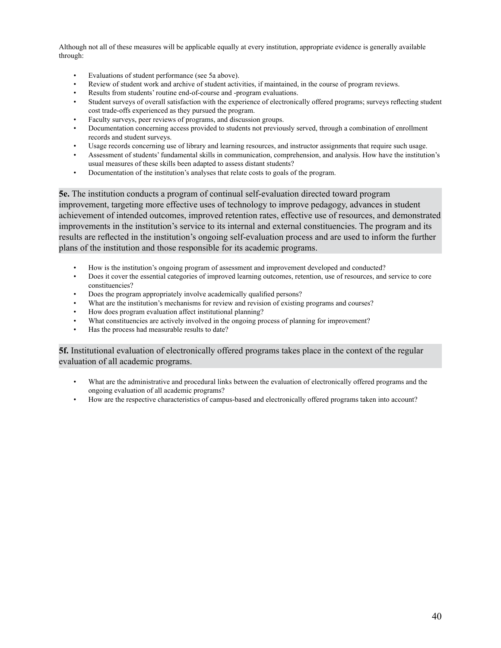Although not all of these measures will be applicable equally at every institution, appropriate evidence is generally available through:

- Evaluations of student performance (see 5a above).
- Review of student work and archive of student activities, if maintained, in the course of program reviews.
- Results from students' routine end-of-course and -program evaluations.
- Student surveys of overall satisfaction with the experience of electronically offered programs; surveys reflecting student cost trade-offs experienced as they pursued the program.
- Faculty surveys, peer reviews of programs, and discussion groups.
- Documentation concerning access provided to students not previously served, through a combination of enrollment records and student surveys.
- Usage records concerning use of library and learning resources, and instructor assignments that require such usage.
- Assessment of students' fundamental skills in communication, comprehension, and analysis. How have the institution's usual measures of these skills been adapted to assess distant students?
- Documentation of the institution's analyses that relate costs to goals of the program.

**5e.** The institution conducts a program of continual self-evaluation directed toward program improvement, targeting more effective uses of technology to improve pedagogy, advances in student achievement of intended outcomes, improved retention rates, effective use of resources, and demonstrated improvements in the institution's service to its internal and external constituencies. The program and its results are reflected in the institution's ongoing self-evaluation process and are used to inform the further plans of the institution and those responsible for its academic programs.

- How is the institution's ongoing program of assessment and improvement developed and conducted?
- Does it cover the essential categories of improved learning outcomes, retention, use of resources, and service to core constituencies?
- Does the program appropriately involve academically qualified persons?
- What are the institution's mechanisms for review and revision of existing programs and courses?
- How does program evaluation affect institutional planning?
- What constituencies are actively involved in the ongoing process of planning for improvement?<br>• Has the process had measurable results to date?
- Has the process had measurable results to date?

**5f.** Institutional evaluation of electronically offered programs takes place in the context of the regular evaluation of all academic programs.

- What are the administrative and procedural links between the evaluation of electronically offered programs and the ongoing evaluation of all academic programs?
- How are the respective characteristics of campus-based and electronically offered programs taken into account?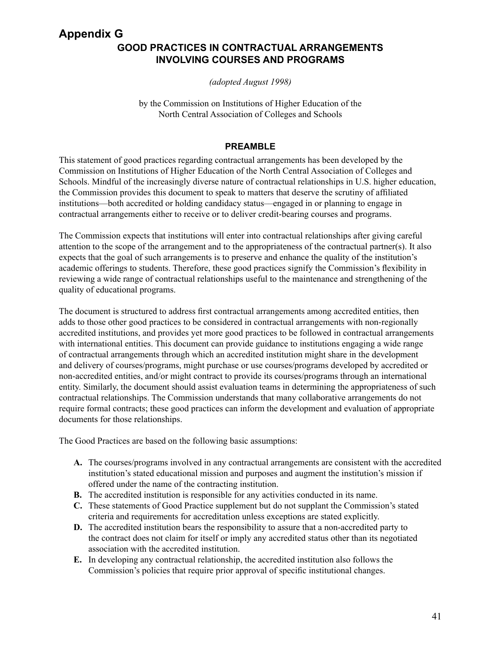# **Appendix G**

# **GOOD PRACTICES IN CONTRACTUAL ARRANGEMENTS INVOLVING COURSES AND PROGRAMS**

*(adopted August 1998)*

by the Commission on Institutions of Higher Education of the North Central Association of Colleges and Schools

#### **PREAMBLE**

This statement of good practices regarding contractual arrangements has been developed by the Commission on Institutions of Higher Education of the North Central Association of Colleges and Schools. Mindful of the increasingly diverse nature of contractual relationships in U.S. higher education, the Commission provides this document to speak to matters that deserve the scrutiny of affiliated institutions—both accredited or holding candidacy status––engaged in or planning to engage in contractual arrangements either to receive or to deliver credit-bearing courses and programs.

The Commission expects that institutions will enter into contractual relationships after giving careful attention to the scope of the arrangement and to the appropriateness of the contractual partner(s). It also expects that the goal of such arrangements is to preserve and enhance the quality of the institution's academic offerings to students. Therefore, these good practices signify the Commission's flexibility in reviewing a wide range of contractual relationships useful to the maintenance and strengthening of the quality of educational programs.

The document is structured to address first contractual arrangements among accredited entities, then adds to those other good practices to be considered in contractual arrangements with non-regionally accredited institutions, and provides yet more good practices to be followed in contractual arrangements with international entities. This document can provide guidance to institutions engaging a wide range of contractual arrangements through which an accredited institution might share in the development and delivery of courses/programs, might purchase or use courses/programs developed by accredited or non-accredited entities, and/or might contract to provide its courses/programs through an international entity. Similarly, the document should assist evaluation teams in determining the appropriateness of such contractual relationships. The Commission understands that many collaborative arrangements do not require formal contracts; these good practices can inform the development and evaluation of appropriate documents for those relationships.

The Good Practices are based on the following basic assumptions:

- **A.** The courses/programs involved in any contractual arrangements are consistent with the accredited institution's stated educational mission and purposes and augment the institution's mission if offered under the name of the contracting institution.
- **B.** The accredited institution is responsible for any activities conducted in its name.
- **C.** These statements of Good Practice supplement but do not supplant the Commission's stated criteria and requirements for accreditation unless exceptions are stated explicitly.
- **D.** The accredited institution bears the responsibility to assure that a non-accredited party to the contract does not claim for itself or imply any accredited status other than its negotiated association with the accredited institution.
- **E.** In developing any contractual relationship, the accredited institution also follows the Commission's policies that require prior approval of specific institutional changes.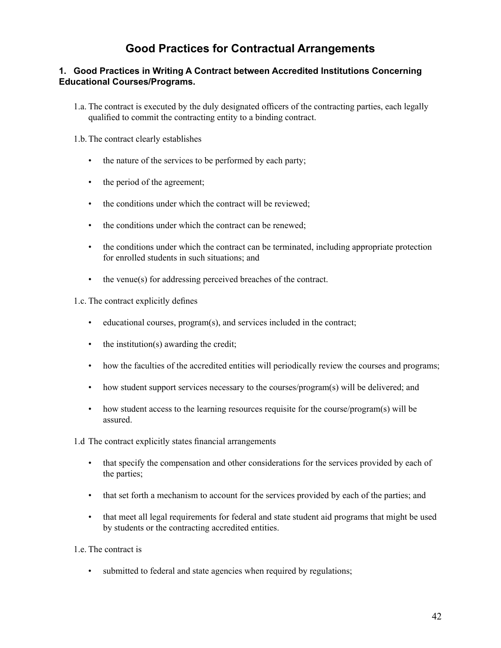# **Good Practices for Contractual Arrangements**

# **1. Good Practices in Writing A Contract between Accredited Institutions Concerning Educational Courses/Programs.**

- 1.a. The contract is executed by the duly designated officers of the contracting parties, each legally qualified to commit the contracting entity to a binding contract.
- 1.b.The contract clearly establishes
	- the nature of the services to be performed by each party;
	- the period of the agreement;
	- the conditions under which the contract will be reviewed;
	- the conditions under which the contract can be renewed;
	- the conditions under which the contract can be terminated, including appropriate protection for enrolled students in such situations; and
	- the venue(s) for addressing perceived breaches of the contract.

1.c. The contract explicitly defines

- educational courses, program(s), and services included in the contract;
- the institution(s) awarding the credit;
- how the faculties of the accredited entities will periodically review the courses and programs;
- how student support services necessary to the courses/program(s) will be delivered; and
- how student access to the learning resources requisite for the course/program(s) will be assured.

1.d The contract explicitly states financial arrangements

- that specify the compensation and other considerations for the services provided by each of the parties;
- that set forth a mechanism to account for the services provided by each of the parties; and
- that meet all legal requirements for federal and state student aid programs that might be used by students or the contracting accredited entities.

#### 1.e. The contract is

• submitted to federal and state agencies when required by regulations;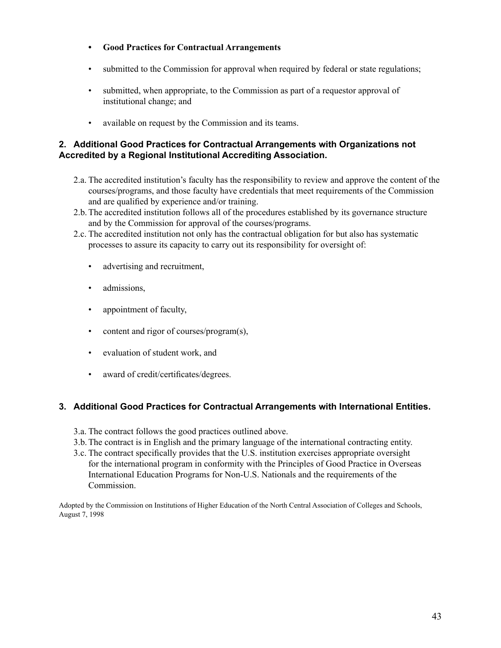- **• Good Practices for Contractual Arrangements**
- submitted to the Commission for approval when required by federal or state regulations;
- submitted, when appropriate, to the Commission as part of a requestor approval of institutional change; and
- available on request by the Commission and its teams.

# **2. Additional Good Practices for Contractual Arrangements with Organizations not Accredited by a Regional Institutional Accrediting Association.**

- 2.a. The accredited institution's faculty has the responsibility to review and approve the content of the courses/programs, and those faculty have credentials that meet requirements of the Commission and are qualified by experience and/or training.
- 2.b.The accredited institution follows all of the procedures established by its governance structure and by the Commission for approval of the courses/programs.
- 2.c. The accredited institution not only has the contractual obligation for but also has systematic processes to assure its capacity to carry out its responsibility for oversight of:
	- advertising and recruitment,
	- admissions,
	- appointment of faculty,
	- content and rigor of courses/program(s),
	- • evaluation of student work, and
	- • award of credit/certificates/degrees.

#### **3. Additional Good Practices for Contractual Arrangements with International Entities.**

- 3.a. The contract follows the good practices outlined above.
- 3.b.The contract is in English and the primary language of the international contracting entity.
- 3.c. The contract specifically provides that the U.S. institution exercises appropriate oversight for the international program in conformity with the Principles of Good Practice in Overseas International Education Programs for Non-U.S. Nationals and the requirements of the Commission.

Adopted by the Commission on Institutions of Higher Education of the North Central Association of Colleges and Schools, August 7, 1998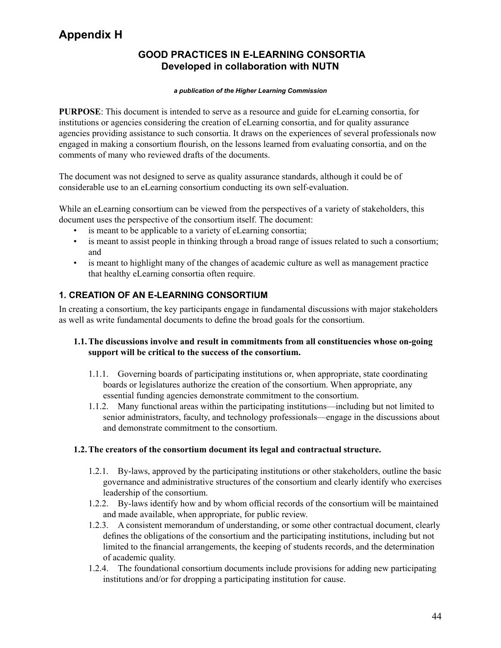# **Appendix H**

# **GOOD PRACTICES IN E-LEARNING CONSORTIA Developed in collaboration with NUTN**

#### *a publication of the Higher Learning Commission*

**PURPOSE**: This document is intended to serve as a resource and guide for eLearning consortia, for institutions or agencies considering the creation of eLearning consortia, and for quality assurance agencies providing assistance to such consortia. It draws on the experiences of several professionals now engaged in making a consortium flourish, on the lessons learned from evaluating consortia, and on the comments of many who reviewed drafts of the documents.

The document was not designed to serve as quality assurance standards, although it could be of considerable use to an eLearning consortium conducting its own self-evaluation.

While an eLearning consortium can be viewed from the perspectives of a variety of stakeholders, this document uses the perspective of the consortium itself. The document:

- is meant to be applicable to a variety of eLearning consortia;
- is meant to assist people in thinking through a broad range of issues related to such a consortium; and
- is meant to highlight many of the changes of academic culture as well as management practice that healthy eLearning consortia often require.

# **1. CREATION OF AN E-LEARNING CONSORTIUM**

In creating a consortium, the key participants engage in fundamental discussions with major stakeholders as well as write fundamental documents to define the broad goals for the consortium.

### **1.1.The discussions involve and result in commitments from all constituencies whose on-going support will be critical to the success of the consortium.**

- 1.1.1. Governing boards of participating institutions or, when appropriate, state coordinating boards or legislatures authorize the creation of the consortium. When appropriate, any essential funding agencies demonstrate commitment to the consortium.
- 1.1.2. Many functional areas within the participating institutions—including but not limited to senior administrators, faculty, and technology professionals—engage in the discussions about and demonstrate commitment to the consortium.

#### **1.2.The creators of the consortium document its legal and contractual structure.**

- 1.2.1. By-laws, approved by the participating institutions or other stakeholders, outline the basic governance and administrative structures of the consortium and clearly identify who exercises leadership of the consortium.
- 1.2.2. By-laws identify how and by whom official records of the consortium will be maintained and made available, when appropriate, for public review.
- 1.2.3. A consistent memorandum of understanding, or some other contractual document, clearly defines the obligations of the consortium and the participating institutions, including but not limited to the financial arrangements, the keeping of students records, and the determination of academic quality.
- 1.2.4. The foundational consortium documents include provisions for adding new participating institutions and/or for dropping a participating institution for cause.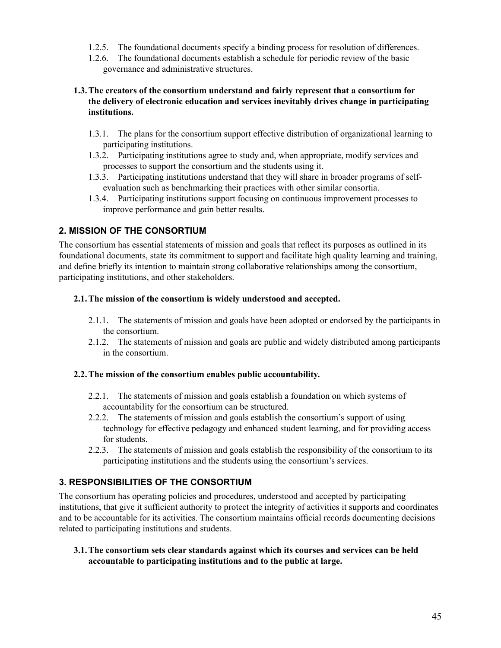- 1.2.5. The foundational documents specify a binding process for resolution of differences.
- 1.2.6. The foundational documents establish a schedule for periodic review of the basic governance and administrative structures.

#### **1.3.The creators of the consortium understand and fairly represent that a consortium for the delivery of electronic education and services inevitably drives change in participating institutions.**

- 1.3.1. The plans for the consortium support effective distribution of organizational learning to participating institutions.
- 1.3.2. Participating institutions agree to study and, when appropriate, modify services and processes to support the consortium and the students using it.
- 1.3.3. Participating institutions understand that they will share in broader programs of selfevaluation such as benchmarking their practices with other similar consortia.
- 1.3.4. Participating institutions support focusing on continuous improvement processes to improve performance and gain better results.

# **2. MISSION OF THE CONSORTIUM**

The consortium has essential statements of mission and goals that reflect its purposes as outlined in its foundational documents, state its commitment to support and facilitate high quality learning and training, and define briefly its intention to maintain strong collaborative relationships among the consortium, participating institutions, and other stakeholders.

### **2.1.The mission of the consortium is widely understood and accepted.**

- 2.1.1. The statements of mission and goals have been adopted or endorsed by the participants in the consortium.
- 2.1.2. The statements of mission and goals are public and widely distributed among participants in the consortium.

#### **2.2.The mission of the consortium enables public accountability.**

- 2.2.1. The statements of mission and goals establish a foundation on which systems of accountability for the consortium can be structured.
- 2.2.2. The statements of mission and goals establish the consortium's support of using technology for effective pedagogy and enhanced student learning, and for providing access for students.
- 2.2.3. The statements of mission and goals establish the responsibility of the consortium to its participating institutions and the students using the consortium's services.

# **3. RESPONSIBILITIES OF THE CONSORTIUM**

The consortium has operating policies and procedures, understood and accepted by participating institutions, that give it sufficient authority to protect the integrity of activities it supports and coordinates and to be accountable for its activities. The consortium maintains official records documenting decisions related to participating institutions and students.

**3.1.The consortium sets clear standards against which its courses and services can be held accountable to participating institutions and to the public at large.**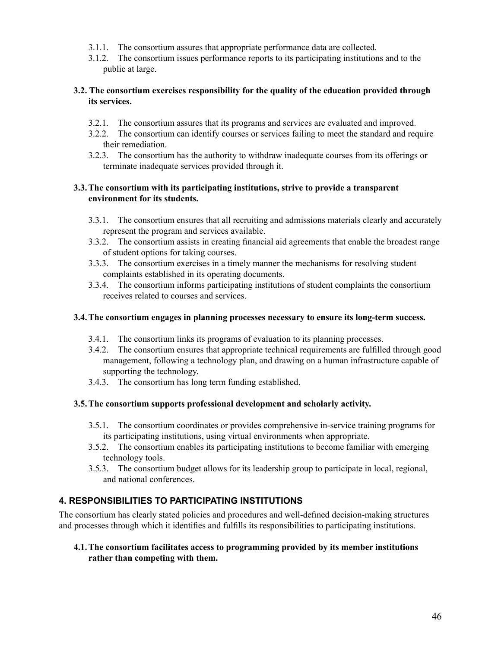- 3.1.1. The consortium assures that appropriate performance data are collected.
- 3.1.2. The consortium issues performance reports to its participating institutions and to the public at large.

### **3.2. The consortium exercises responsibility for the quality of the education provided through its services.**

- 3.2.1. The consortium assures that its programs and services are evaluated and improved.
- 3.2.2. The consortium can identify courses or services failing to meet the standard and require their remediation.
- 3.2.3. The consortium has the authority to withdraw inadequate courses from its offerings or terminate inadequate services provided through it.

# **3.3.The consortium with its participating institutions, strive to provide a transparent environment for its students.**

- 3.3.1. The consortium ensures that all recruiting and admissions materials clearly and accurately represent the program and services available.
- 3.3.2. The consortium assists in creating financial aid agreements that enable the broadest range of student options for taking courses.
- 3.3.3. The consortium exercises in a timely manner the mechanisms for resolving student complaints established in its operating documents.
- 3.3.4. The consortium informs participating institutions of student complaints the consortium receives related to courses and services.

# **3.4.The consortium engages in planning processes necessary to ensure its long-term success.**

- 3.4.1. The consortium links its programs of evaluation to its planning processes.
- 3.4.2. The consortium ensures that appropriate technical requirements are fulfilled through good management, following a technology plan, and drawing on a human infrastructure capable of supporting the technology.
- 3.4.3. The consortium has long term funding established.

# **3.5.The consortium supports professional development and scholarly activity.**

- 3.5.1. The consortium coordinates or provides comprehensive in-service training programs for its participating institutions, using virtual environments when appropriate.
- 3.5.2. The consortium enables its participating institutions to become familiar with emerging technology tools.
- 3.5.3. The consortium budget allows for its leadership group to participate in local, regional, and national conferences.

# **4. RESPONSIBILITIES TO PARTICIPATING INSTITUTIONS**

The consortium has clearly stated policies and procedures and well-defined decision-making structures and processes through which it identifies and fulfills its responsibilities to participating institutions.

### **4.1.The consortium facilitates access to programming provided by its member institutions rather than competing with them.**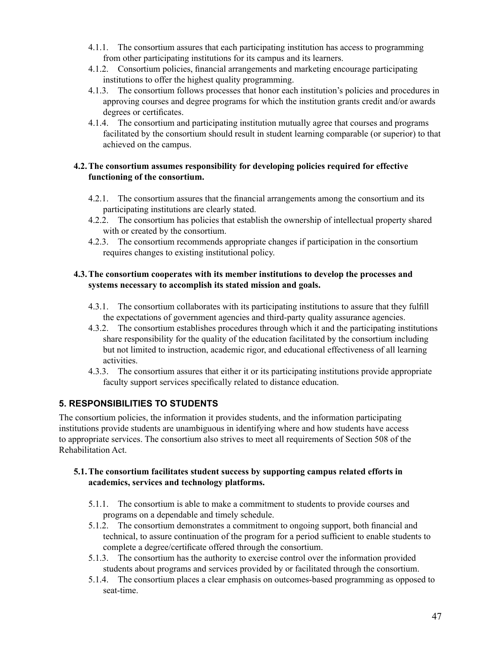- 4.1.1. The consortium assures that each participating institution has access to programming from other participating institutions for its campus and its learners.
- 4.1.2. Consortium policies, financial arrangements and marketing encourage participating institutions to offer the highest quality programming.
- 4.1.3. The consortium follows processes that honor each institution's policies and procedures in approving courses and degree programs for which the institution grants credit and/or awards degrees or certificates.
- 4.1.4. The consortium and participating institution mutually agree that courses and programs facilitated by the consortium should result in student learning comparable (or superior) to that achieved on the campus.

# **4.2.The consortium assumes responsibility for developing policies required for effective functioning of the consortium.**

- 4.2.1. The consortium assures that the financial arrangements among the consortium and its participating institutions are clearly stated.
- 4.2.2. The consortium has policies that establish the ownership of intellectual property shared with or created by the consortium.
- 4.2.3. The consortium recommends appropriate changes if participation in the consortium requires changes to existing institutional policy.

## **4.3.The consortium cooperates with its member institutions to develop the processes and systems necessary to accomplish its stated mission and goals.**

- 4.3.1. The consortium collaborates with its participating institutions to assure that they fulfill the expectations of government agencies and third-party quality assurance agencies.
- 4.3.2. The consortium establishes procedures through which it and the participating institutions share responsibility for the quality of the education facilitated by the consortium including but not limited to instruction, academic rigor, and educational effectiveness of all learning activities.
- 4.3.3. The consortium assures that either it or its participating institutions provide appropriate faculty support services specifically related to distance education.

# **5. RESPONSIBILITIES TO STUDENTS**

The consortium policies, the information it provides students, and the information participating institutions provide students are unambiguous in identifying where and how students have access to appropriate services. The consortium also strives to meet all requirements of Section 508 of the Rehabilitation Act.

# **5.1.The consortium facilitates student success by supporting campus related efforts in academics, services and technology platforms.**

- 5.1.1. The consortium is able to make a commitment to students to provide courses and programs on a dependable and timely schedule.
- 5.1.2. The consortium demonstrates a commitment to ongoing support, both financial and technical, to assure continuation of the program for a period sufficient to enable students to complete a degree/certificate offered through the consortium.
- 5.1.3. The consortium has the authority to exercise control over the information provided students about programs and services provided by or facilitated through the consortium.
- 5.1.4. The consortium places a clear emphasis on outcomes-based programming as opposed to seat-time.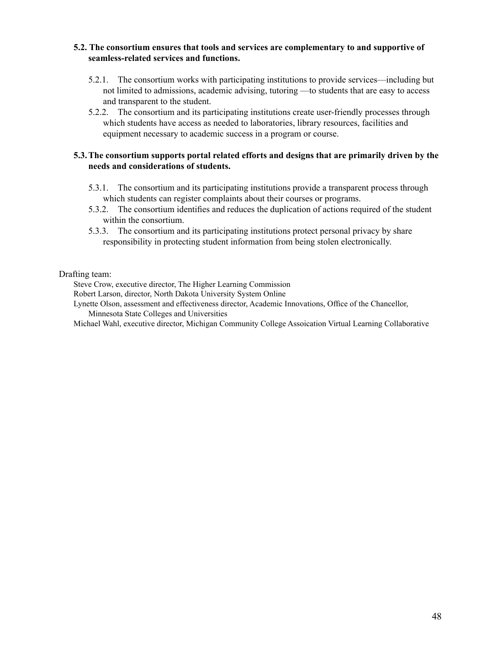### **5.2. The consortium ensures that tools and services are complementary to and supportive of seamless-related services and functions.**

- 5.2.1. The consortium works with participating institutions to provide services—including but not limited to admissions, academic advising, tutoring —to students that are easy to access and transparent to the student.
- 5.2.2. The consortium and its participating institutions create user-friendly processes through which students have access as needed to laboratories, library resources, facilities and equipment necessary to academic success in a program or course.

### **5.3.The consortium supports portal related efforts and designs that are primarily driven by the needs and considerations of students.**

- 5.3.1. The consortium and its participating institutions provide a transparent process through which students can register complaints about their courses or programs.
- 5.3.2. The consortium identifies and reduces the duplication of actions required of the student within the consortium.
- 5.3.3. The consortium and its participating institutions protect personal privacy by share responsibility in protecting student information from being stolen electronically.

#### Drafting team:

Steve Crow, executive director, The Higher Learning Commission

- Robert Larson, director, North Dakota University System Online
- Lynette Olson, assessment and effectiveness director, Academic Innovations, Office of the Chancellor, Minnesota State Colleges and Universities

Michael Wahl, executive director, Michigan Community College Assoication Virtual Learning Collaborative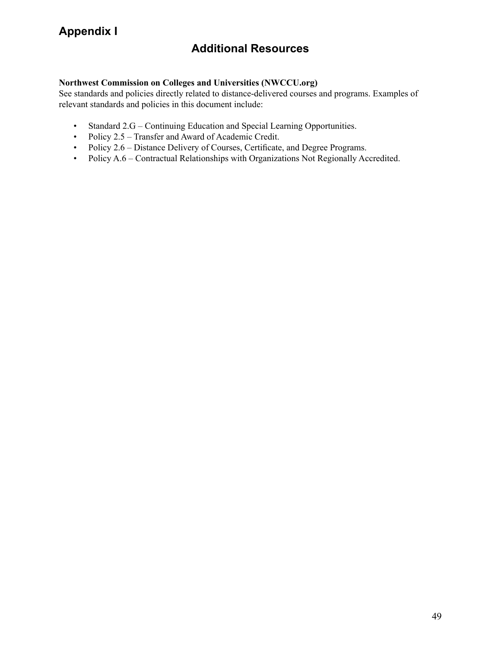# **Additional Resources**

### **Northwest Commission on Colleges and Universities (NWCCU.org)**

See standards and policies directly related to distance-delivered courses and programs. Examples of relevant standards and policies in this document include:

- Standard 2.G Continuing Education and Special Learning Opportunities.
- Policy 2.5 Transfer and Award of Academic Credit.
- Policy 2.6 Distance Delivery of Courses, Certificate, and Degree Programs.
- Policy A.6 Contractual Relationships with Organizations Not Regionally Accredited.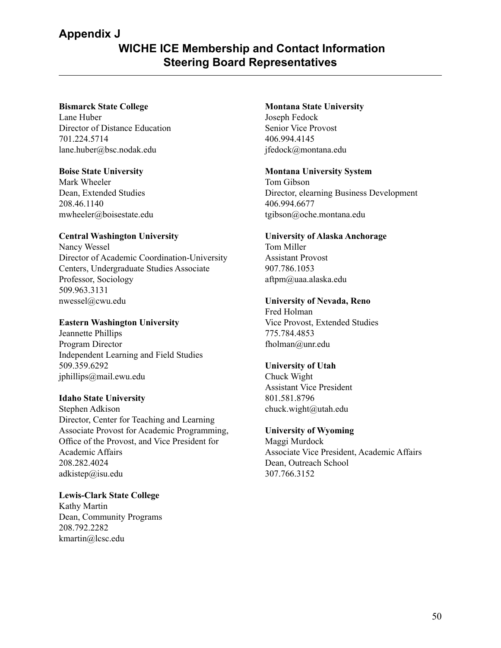# **WICHE ICE Membership and Contact Information Steering Board Representatives**

### **Bismarck State College**

Lane Huber Director of Distance Education 701.224.5714 lane.huber@bsc.nodak.edu

### **Boise State University**

Mark Wheeler Dean, Extended Studies 208.46.1140 mwheeler@boisestate.edu

### **Central Washington University**

Nancy Wessel Director of Academic Coordination-University Centers, Undergraduate Studies Associate Professor, Sociology 509.963.3131 nwessel@cwu.edu

## **Eastern Washington University**

Jeannette Phillips Program Director Independent Learning and Field Studies 509.359.6292 jphillips@mail.ewu.edu

# **Idaho State University**

Stephen Adkison Director, Center for Teaching and Learning Associate Provost for Academic Programming, Office of the Provost, and Vice President for Academic Affairs 208.282.4024 adkistep@isu.edu

# **Lewis-Clark State College**

Kathy Martin Dean, Community Programs 208.792.2282 kmartin@lcsc.edu

## **Montana State University**

Joseph Fedock Senior Vice Provost 406.994.4145 jfedock@montana.edu

# **Montana University System**

Tom Gibson Director, elearning Business Development 406.994.6677 tgibson@oche.montana.edu

#### **University of Alaska Anchorage**

Tom Miller Assistant Provost 907.786.1053 aftpm@uaa.alaska.edu

### **University of Nevada, Reno**

Fred Holman Vice Provost, Extended Studies 775.784.4853 fholman@unr.edu

# **University of Utah**

Chuck Wight Assistant Vice President 801.581.8796 chuck.wight@utah.edu

# **University of Wyoming**

Maggi Murdock Associate Vice President, Academic Affairs Dean, Outreach School 307.766.3152